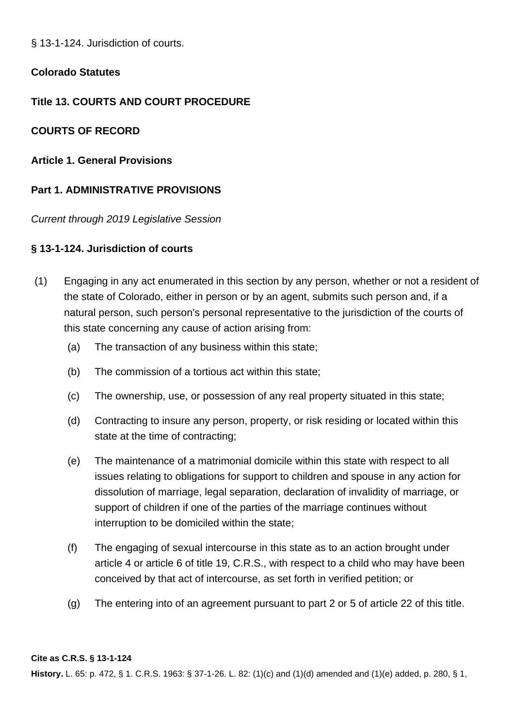§ 13-1-124. Jurisdiction of courts.

# **Colorado Statutes**

# **Title 13. COURTS AND COURT PROCEDURE**

# **COURTS OF RECORD**

**Article 1. General Provisions**

# **Part 1. ADMINISTRATIVE PROVISIONS**

Current through 2019 Legislative Session

# **§ 13-1-124. Jurisdiction of courts**

- (1) Engaging in any act enumerated in this section by any person, whether or not a resident of the state of Colorado, either in person or by an agent, submits such person and, if a natural person, such person's personal representative to the jurisdiction of the courts of this state concerning any cause of action arising from:
	- (a) The transaction of any business within this state;
	- (b) The commission of a tortious act within this state;
	- (c) The ownership, use, or possession of any real property situated in this state;
	- (d) Contracting to insure any person, property, or risk residing or located within this state at the time of contracting;
	- (e) The maintenance of a matrimonial domicile within this state with respect to all issues relating to obligations for support to children and spouse in any action for dissolution of marriage, legal separation, declaration of invalidity of marriage, or support of children if one of the parties of the marriage continues without interruption to be domiciled within the state;
	- (f) The engaging of sexual intercourse in this state as to an action brought under article 4 or article 6 of title 19, C.R.S., with respect to a child who may have been conceived by that act of intercourse, as set forth in verified petition; or
	- (g) The entering into of an agreement pursuant to part 2 or 5 of article 22 of this title.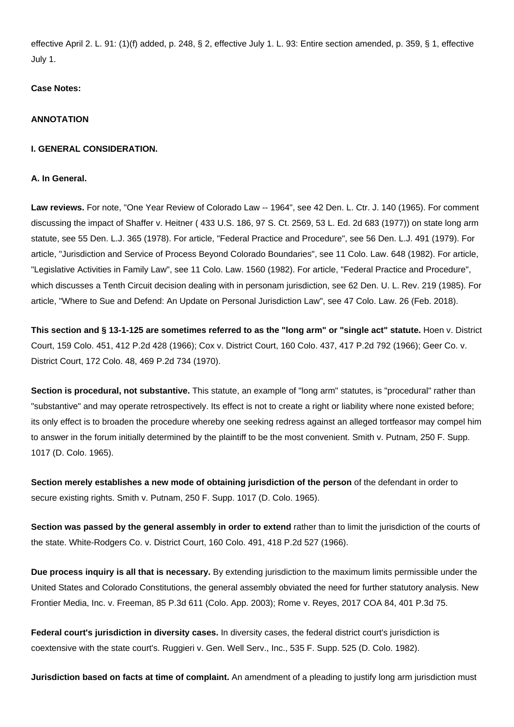effective April 2. L. 91: (1)(f) added, p. 248, § 2, effective July 1. L. 93: Entire section amended, p. 359, § 1, effective July 1.

## **Case Notes:**

## **ANNOTATION**

## **I. GENERAL CONSIDERATION.**

## **A. In General.**

**Law reviews.** For note, "One Year Review of Colorado Law -- 1964", see 42 Den. L. Ctr. J. 140 (1965). For comment discussing the impact of Shaffer v. Heitner ( 433 U.S. 186, 97 S. Ct. 2569, 53 L. Ed. 2d 683 (1977)) on state long arm statute, see 55 Den. L.J. 365 (1978). For article, "Federal Practice and Procedure", see 56 Den. L.J. 491 (1979). For article, "Jurisdiction and Service of Process Beyond Colorado Boundaries", see 11 Colo. Law. 648 (1982). For article, "Legislative Activities in Family Law", see 11 Colo. Law. 1560 (1982). For article, "Federal Practice and Procedure", which discusses a Tenth Circuit decision dealing with in personam jurisdiction, see 62 Den. U. L. Rev. 219 (1985). For article, "Where to Sue and Defend: An Update on Personal Jurisdiction Law", see 47 Colo. Law. 26 (Feb. 2018).

**This section and § 13-1-125 are sometimes referred to as the "long arm" or "single act" statute.** Hoen v. District Court, 159 Colo. 451, 412 P.2d 428 (1966); Cox v. District Court, 160 Colo. 437, 417 P.2d 792 (1966); Geer Co. v. District Court, 172 Colo. 48, 469 P.2d 734 (1970).

**Section is procedural, not substantive.** This statute, an example of "long arm" statutes, is "procedural" rather than "substantive" and may operate retrospectively. Its effect is not to create a right or liability where none existed before; its only effect is to broaden the procedure whereby one seeking redress against an alleged tortfeasor may compel him to answer in the forum initially determined by the plaintiff to be the most convenient. Smith v. Putnam, 250 F. Supp. 1017 (D. Colo. 1965).

**Section merely establishes a new mode of obtaining jurisdiction of the person** of the defendant in order to secure existing rights. Smith v. Putnam, 250 F. Supp. 1017 (D. Colo. 1965).

**Section was passed by the general assembly in order to extend** rather than to limit the jurisdiction of the courts of the state. White-Rodgers Co. v. District Court, 160 Colo. 491, 418 P.2d 527 (1966).

**Due process inquiry is all that is necessary.** By extending jurisdiction to the maximum limits permissible under the United States and Colorado Constitutions, the general assembly obviated the need for further statutory analysis. New Frontier Media, Inc. v. Freeman, 85 P.3d 611 (Colo. App. 2003); Rome v. Reyes, 2017 COA 84, 401 P.3d 75.

**Federal court's jurisdiction in diversity cases.** In diversity cases, the federal district court's jurisdiction is coextensive with the state court's. Ruggieri v. Gen. Well Serv., Inc., 535 F. Supp. 525 (D. Colo. 1982).

**Jurisdiction based on facts at time of complaint.** An amendment of a pleading to justify long arm jurisdiction must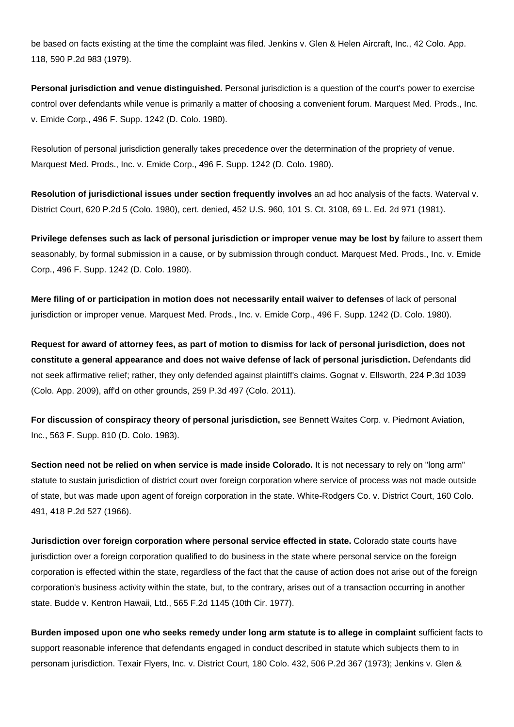be based on facts existing at the time the complaint was filed. Jenkins v. Glen & Helen Aircraft, Inc., 42 Colo. App. 118, 590 P.2d 983 (1979).

**Personal jurisdiction and venue distinguished.** Personal jurisdiction is a question of the court's power to exercise control over defendants while venue is primarily a matter of choosing a convenient forum. Marquest Med. Prods., Inc. v. Emide Corp., 496 F. Supp. 1242 (D. Colo. 1980).

Resolution of personal jurisdiction generally takes precedence over the determination of the propriety of venue. Marquest Med. Prods., Inc. v. Emide Corp., 496 F. Supp. 1242 (D. Colo. 1980).

**Resolution of jurisdictional issues under section frequently involves** an ad hoc analysis of the facts. Waterval v. District Court, 620 P.2d 5 (Colo. 1980), cert. denied, 452 U.S. 960, 101 S. Ct. 3108, 69 L. Ed. 2d 971 (1981).

**Privilege defenses such as lack of personal jurisdiction or improper venue may be lost by** failure to assert them seasonably, by formal submission in a cause, or by submission through conduct. Marquest Med. Prods., Inc. v. Emide Corp., 496 F. Supp. 1242 (D. Colo. 1980).

**Mere filing of or participation in motion does not necessarily entail waiver to defenses** of lack of personal jurisdiction or improper venue. Marquest Med. Prods., Inc. v. Emide Corp., 496 F. Supp. 1242 (D. Colo. 1980).

**Request for award of attorney fees, as part of motion to dismiss for lack of personal jurisdiction, does not constitute a general appearance and does not waive defense of lack of personal jurisdiction.** Defendants did not seek affirmative relief; rather, they only defended against plaintiff's claims. Gognat v. Ellsworth, 224 P.3d 1039 (Colo. App. 2009), aff'd on other grounds, 259 P.3d 497 (Colo. 2011).

**For discussion of conspiracy theory of personal jurisdiction,** see Bennett Waites Corp. v. Piedmont Aviation, Inc., 563 F. Supp. 810 (D. Colo. 1983).

**Section need not be relied on when service is made inside Colorado.** It is not necessary to rely on "long arm" statute to sustain jurisdiction of district court over foreign corporation where service of process was not made outside of state, but was made upon agent of foreign corporation in the state. White-Rodgers Co. v. District Court, 160 Colo. 491, 418 P.2d 527 (1966).

**Jurisdiction over foreign corporation where personal service effected in state.** Colorado state courts have jurisdiction over a foreign corporation qualified to do business in the state where personal service on the foreign corporation is effected within the state, regardless of the fact that the cause of action does not arise out of the foreign corporation's business activity within the state, but, to the contrary, arises out of a transaction occurring in another state. Budde v. Kentron Hawaii, Ltd., 565 F.2d 1145 (10th Cir. 1977).

**Burden imposed upon one who seeks remedy under long arm statute is to allege in complaint** sufficient facts to support reasonable inference that defendants engaged in conduct described in statute which subjects them to in personam jurisdiction. Texair Flyers, Inc. v. District Court, 180 Colo. 432, 506 P.2d 367 (1973); Jenkins v. Glen &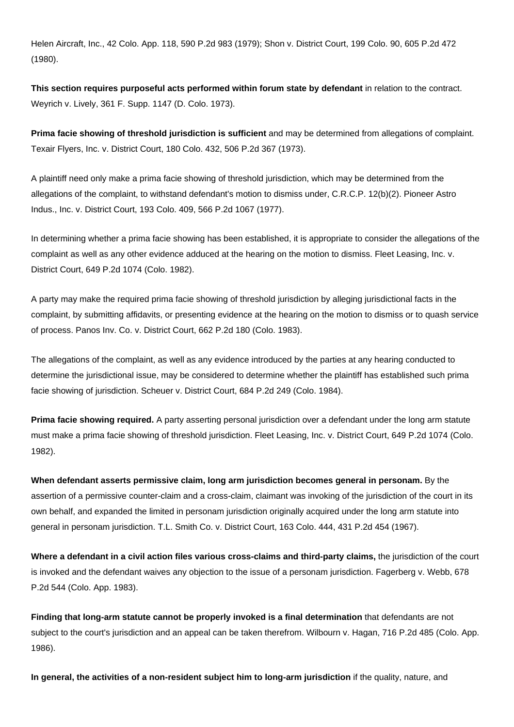Helen Aircraft, Inc., 42 Colo. App. 118, 590 P.2d 983 (1979); Shon v. District Court, 199 Colo. 90, 605 P.2d 472 (1980).

**This section requires purposeful acts performed within forum state by defendant** in relation to the contract. Weyrich v. Lively, 361 F. Supp. 1147 (D. Colo. 1973).

**Prima facie showing of threshold jurisdiction is sufficient** and may be determined from allegations of complaint. Texair Flyers, Inc. v. District Court, 180 Colo. 432, 506 P.2d 367 (1973).

A plaintiff need only make a prima facie showing of threshold jurisdiction, which may be determined from the allegations of the complaint, to withstand defendant's motion to dismiss under, C.R.C.P. 12(b)(2). Pioneer Astro Indus., Inc. v. District Court, 193 Colo. 409, 566 P.2d 1067 (1977).

In determining whether a prima facie showing has been established, it is appropriate to consider the allegations of the complaint as well as any other evidence adduced at the hearing on the motion to dismiss. Fleet Leasing, Inc. v. District Court, 649 P.2d 1074 (Colo. 1982).

A party may make the required prima facie showing of threshold jurisdiction by alleging jurisdictional facts in the complaint, by submitting affidavits, or presenting evidence at the hearing on the motion to dismiss or to quash service of process. Panos Inv. Co. v. District Court, 662 P.2d 180 (Colo. 1983).

The allegations of the complaint, as well as any evidence introduced by the parties at any hearing conducted to determine the jurisdictional issue, may be considered to determine whether the plaintiff has established such prima facie showing of jurisdiction. Scheuer v. District Court, 684 P.2d 249 (Colo. 1984).

**Prima facie showing required.** A party asserting personal jurisdiction over a defendant under the long arm statute must make a prima facie showing of threshold jurisdiction. Fleet Leasing, Inc. v. District Court, 649 P.2d 1074 (Colo. 1982).

**When defendant asserts permissive claim, long arm jurisdiction becomes general in personam.** By the assertion of a permissive counter-claim and a cross-claim, claimant was invoking of the jurisdiction of the court in its own behalf, and expanded the limited in personam jurisdiction originally acquired under the long arm statute into general in personam jurisdiction. T.L. Smith Co. v. District Court, 163 Colo. 444, 431 P.2d 454 (1967).

**Where a defendant in a civil action files various cross-claims and third-party claims,** the jurisdiction of the court is invoked and the defendant waives any objection to the issue of a personam jurisdiction. Fagerberg v. Webb, 678 P.2d 544 (Colo. App. 1983).

**Finding that long-arm statute cannot be properly invoked is a final determination** that defendants are not subject to the court's jurisdiction and an appeal can be taken therefrom. Wilbourn v. Hagan, 716 P.2d 485 (Colo. App. 1986).

**In general, the activities of a non-resident subject him to long-arm jurisdiction** if the quality, nature, and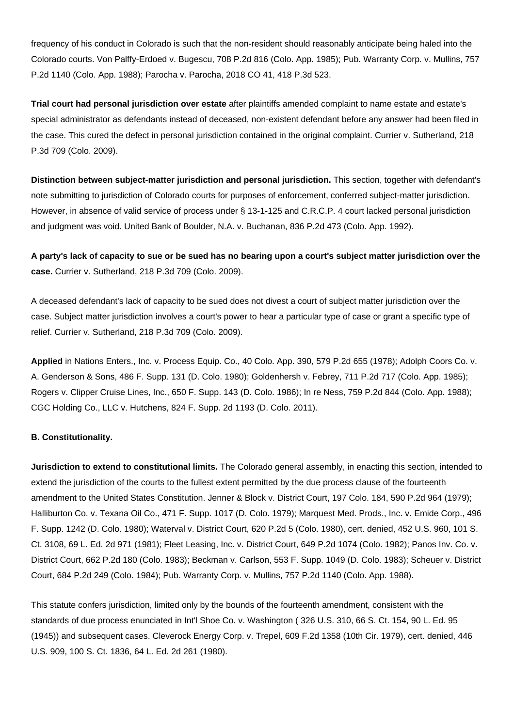frequency of his conduct in Colorado is such that the non-resident should reasonably anticipate being haled into the Colorado courts. Von Palffy-Erdoed v. Bugescu, 708 P.2d 816 (Colo. App. 1985); Pub. Warranty Corp. v. Mullins, 757 P.2d 1140 (Colo. App. 1988); Parocha v. Parocha, 2018 CO 41, 418 P.3d 523.

**Trial court had personal jurisdiction over estate** after plaintiffs amended complaint to name estate and estate's special administrator as defendants instead of deceased, non-existent defendant before any answer had been filed in the case. This cured the defect in personal jurisdiction contained in the original complaint. Currier v. Sutherland, 218 P.3d 709 (Colo. 2009).

**Distinction between subject-matter jurisdiction and personal jurisdiction.** This section, together with defendant's note submitting to jurisdiction of Colorado courts for purposes of enforcement, conferred subject-matter jurisdiction. However, in absence of valid service of process under § 13-1-125 and C.R.C.P. 4 court lacked personal jurisdiction and judgment was void. United Bank of Boulder, N.A. v. Buchanan, 836 P.2d 473 (Colo. App. 1992).

**A party's lack of capacity to sue or be sued has no bearing upon a court's subject matter jurisdiction over the case.** Currier v. Sutherland, 218 P.3d 709 (Colo. 2009).

A deceased defendant's lack of capacity to be sued does not divest a court of subject matter jurisdiction over the case. Subject matter jurisdiction involves a court's power to hear a particular type of case or grant a specific type of relief. Currier v. Sutherland, 218 P.3d 709 (Colo. 2009).

**Applied** in Nations Enters., Inc. v. Process Equip. Co., 40 Colo. App. 390, 579 P.2d 655 (1978); Adolph Coors Co. v. A. Genderson & Sons, 486 F. Supp. 131 (D. Colo. 1980); Goldenhersh v. Febrey, 711 P.2d 717 (Colo. App. 1985); Rogers v. Clipper Cruise Lines, Inc., 650 F. Supp. 143 (D. Colo. 1986); In re Ness, 759 P.2d 844 (Colo. App. 1988); CGC Holding Co., LLC v. Hutchens, 824 F. Supp. 2d 1193 (D. Colo. 2011).

### **B. Constitutionality.**

**Jurisdiction to extend to constitutional limits.** The Colorado general assembly, in enacting this section, intended to extend the jurisdiction of the courts to the fullest extent permitted by the due process clause of the fourteenth amendment to the United States Constitution. Jenner & Block v. District Court, 197 Colo. 184, 590 P.2d 964 (1979); Halliburton Co. v. Texana Oil Co., 471 F. Supp. 1017 (D. Colo. 1979); Marquest Med. Prods., Inc. v. Emide Corp., 496 F. Supp. 1242 (D. Colo. 1980); Waterval v. District Court, 620 P.2d 5 (Colo. 1980), cert. denied, 452 U.S. 960, 101 S. Ct. 3108, 69 L. Ed. 2d 971 (1981); Fleet Leasing, Inc. v. District Court, 649 P.2d 1074 (Colo. 1982); Panos Inv. Co. v. District Court, 662 P.2d 180 (Colo. 1983); Beckman v. Carlson, 553 F. Supp. 1049 (D. Colo. 1983); Scheuer v. District Court, 684 P.2d 249 (Colo. 1984); Pub. Warranty Corp. v. Mullins, 757 P.2d 1140 (Colo. App. 1988).

This statute confers jurisdiction, limited only by the bounds of the fourteenth amendment, consistent with the standards of due process enunciated in Int'l Shoe Co. v. Washington ( 326 U.S. 310, 66 S. Ct. 154, 90 L. Ed. 95 (1945)) and subsequent cases. Cleverock Energy Corp. v. Trepel, 609 F.2d 1358 (10th Cir. 1979), cert. denied, 446 U.S. 909, 100 S. Ct. 1836, 64 L. Ed. 2d 261 (1980).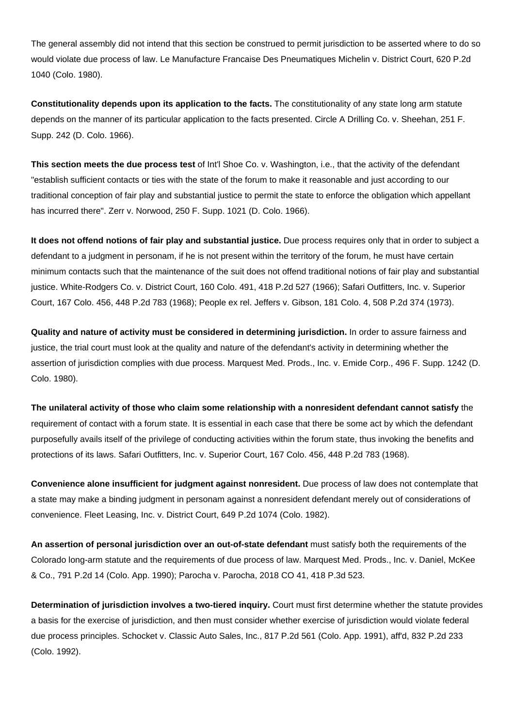The general assembly did not intend that this section be construed to permit jurisdiction to be asserted where to do so would violate due process of law. Le Manufacture Francaise Des Pneumatiques Michelin v. District Court, 620 P.2d 1040 (Colo. 1980).

**Constitutionality depends upon its application to the facts.** The constitutionality of any state long arm statute depends on the manner of its particular application to the facts presented. Circle A Drilling Co. v. Sheehan, 251 F. Supp. 242 (D. Colo. 1966).

**This section meets the due process test** of Int'l Shoe Co. v. Washington, i.e., that the activity of the defendant "establish sufficient contacts or ties with the state of the forum to make it reasonable and just according to our traditional conception of fair play and substantial justice to permit the state to enforce the obligation which appellant has incurred there". Zerr v. Norwood, 250 F. Supp. 1021 (D. Colo. 1966).

**It does not offend notions of fair play and substantial justice.** Due process requires only that in order to subject a defendant to a judgment in personam, if he is not present within the territory of the forum, he must have certain minimum contacts such that the maintenance of the suit does not offend traditional notions of fair play and substantial justice. White-Rodgers Co. v. District Court, 160 Colo. 491, 418 P.2d 527 (1966); Safari Outfitters, Inc. v. Superior Court, 167 Colo. 456, 448 P.2d 783 (1968); People ex rel. Jeffers v. Gibson, 181 Colo. 4, 508 P.2d 374 (1973).

**Quality and nature of activity must be considered in determining jurisdiction.** In order to assure fairness and justice, the trial court must look at the quality and nature of the defendant's activity in determining whether the assertion of jurisdiction complies with due process. Marquest Med. Prods., Inc. v. Emide Corp., 496 F. Supp. 1242 (D. Colo. 1980).

**The unilateral activity of those who claim some relationship with a nonresident defendant cannot satisfy** the requirement of contact with a forum state. It is essential in each case that there be some act by which the defendant purposefully avails itself of the privilege of conducting activities within the forum state, thus invoking the benefits and protections of its laws. Safari Outfitters, Inc. v. Superior Court, 167 Colo. 456, 448 P.2d 783 (1968).

**Convenience alone insufficient for judgment against nonresident.** Due process of law does not contemplate that a state may make a binding judgment in personam against a nonresident defendant merely out of considerations of convenience. Fleet Leasing, Inc. v. District Court, 649 P.2d 1074 (Colo. 1982).

**An assertion of personal jurisdiction over an out-of-state defendant** must satisfy both the requirements of the Colorado long-arm statute and the requirements of due process of law. Marquest Med. Prods., Inc. v. Daniel, McKee & Co., 791 P.2d 14 (Colo. App. 1990); Parocha v. Parocha, 2018 CO 41, 418 P.3d 523.

**Determination of jurisdiction involves a two-tiered inquiry.** Court must first determine whether the statute provides a basis for the exercise of jurisdiction, and then must consider whether exercise of jurisdiction would violate federal due process principles. Schocket v. Classic Auto Sales, Inc., 817 P.2d 561 (Colo. App. 1991), aff'd, 832 P.2d 233 (Colo. 1992).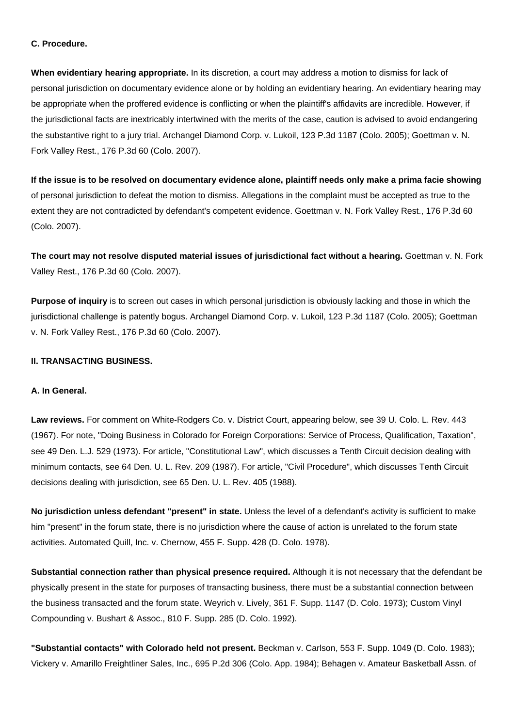#### **C. Procedure.**

**When evidentiary hearing appropriate.** In its discretion, a court may address a motion to dismiss for lack of personal jurisdiction on documentary evidence alone or by holding an evidentiary hearing. An evidentiary hearing may be appropriate when the proffered evidence is conflicting or when the plaintiff's affidavits are incredible. However, if the jurisdictional facts are inextricably intertwined with the merits of the case, caution is advised to avoid endangering the substantive right to a jury trial. Archangel Diamond Corp. v. Lukoil, 123 P.3d 1187 (Colo. 2005); Goettman v. N. Fork Valley Rest., 176 P.3d 60 (Colo. 2007).

**If the issue is to be resolved on documentary evidence alone, plaintiff needs only make a prima facie showing** of personal jurisdiction to defeat the motion to dismiss. Allegations in the complaint must be accepted as true to the extent they are not contradicted by defendant's competent evidence. Goettman v. N. Fork Valley Rest., 176 P.3d 60 (Colo. 2007).

**The court may not resolve disputed material issues of jurisdictional fact without a hearing.** Goettman v. N. Fork Valley Rest., 176 P.3d 60 (Colo. 2007).

**Purpose of inquiry** is to screen out cases in which personal jurisdiction is obviously lacking and those in which the jurisdictional challenge is patently bogus. Archangel Diamond Corp. v. Lukoil, 123 P.3d 1187 (Colo. 2005); Goettman v. N. Fork Valley Rest., 176 P.3d 60 (Colo. 2007).

### **II. TRANSACTING BUSINESS.**

#### **A. In General.**

**Law reviews.** For comment on White-Rodgers Co. v. District Court, appearing below, see 39 U. Colo. L. Rev. 443 (1967). For note, "Doing Business in Colorado for Foreign Corporations: Service of Process, Qualification, Taxation", see 49 Den. L.J. 529 (1973). For article, "Constitutional Law", which discusses a Tenth Circuit decision dealing with minimum contacts, see 64 Den. U. L. Rev. 209 (1987). For article, "Civil Procedure", which discusses Tenth Circuit decisions dealing with jurisdiction, see 65 Den. U. L. Rev. 405 (1988).

**No jurisdiction unless defendant "present" in state.** Unless the level of a defendant's activity is sufficient to make him "present" in the forum state, there is no jurisdiction where the cause of action is unrelated to the forum state activities. Automated Quill, Inc. v. Chernow, 455 F. Supp. 428 (D. Colo. 1978).

**Substantial connection rather than physical presence required.** Although it is not necessary that the defendant be physically present in the state for purposes of transacting business, there must be a substantial connection between the business transacted and the forum state. Weyrich v. Lively, 361 F. Supp. 1147 (D. Colo. 1973); Custom Vinyl Compounding v. Bushart & Assoc., 810 F. Supp. 285 (D. Colo. 1992).

**"Substantial contacts" with Colorado held not present.** Beckman v. Carlson, 553 F. Supp. 1049 (D. Colo. 1983); Vickery v. Amarillo Freightliner Sales, Inc., 695 P.2d 306 (Colo. App. 1984); Behagen v. Amateur Basketball Assn. of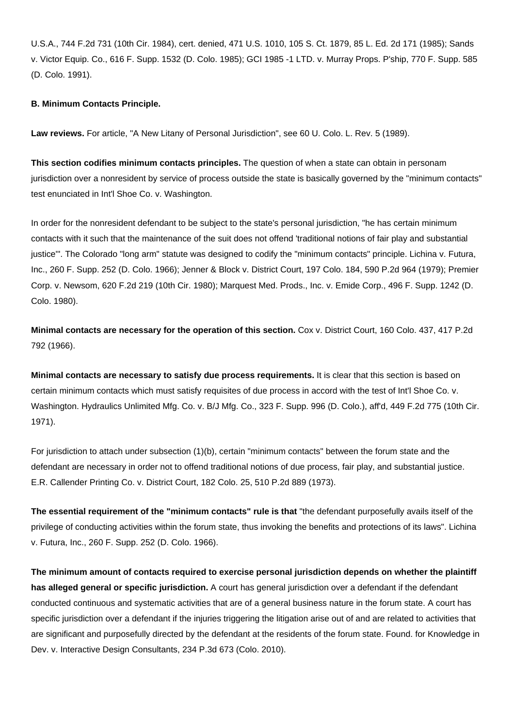U.S.A., 744 F.2d 731 (10th Cir. 1984), cert. denied, 471 U.S. 1010, 105 S. Ct. 1879, 85 L. Ed. 2d 171 (1985); Sands v. Victor Equip. Co., 616 F. Supp. 1532 (D. Colo. 1985); GCI 1985 -1 LTD. v. Murray Props. P'ship, 770 F. Supp. 585 (D. Colo. 1991).

## **B. Minimum Contacts Principle.**

**Law reviews.** For article, "A New Litany of Personal Jurisdiction", see 60 U. Colo. L. Rev. 5 (1989).

**This section codifies minimum contacts principles.** The question of when a state can obtain in personam jurisdiction over a nonresident by service of process outside the state is basically governed by the "minimum contacts" test enunciated in Int'l Shoe Co. v. Washington.

In order for the nonresident defendant to be subject to the state's personal jurisdiction, "he has certain minimum contacts with it such that the maintenance of the suit does not offend 'traditional notions of fair play and substantial justice". The Colorado "long arm" statute was designed to codify the "minimum contacts" principle. Lichina y. Futura, Inc., 260 F. Supp. 252 (D. Colo. 1966); Jenner & Block v. District Court, 197 Colo. 184, 590 P.2d 964 (1979); Premier Corp. v. Newsom, 620 F.2d 219 (10th Cir. 1980); Marquest Med. Prods., Inc. v. Emide Corp., 496 F. Supp. 1242 (D. Colo. 1980).

**Minimal contacts are necessary for the operation of this section.** Cox v. District Court, 160 Colo. 437, 417 P.2d 792 (1966).

**Minimal contacts are necessary to satisfy due process requirements.** It is clear that this section is based on certain minimum contacts which must satisfy requisites of due process in accord with the test of Int'l Shoe Co. v. Washington. Hydraulics Unlimited Mfg. Co. v. B/J Mfg. Co., 323 F. Supp. 996 (D. Colo.), aff'd, 449 F.2d 775 (10th Cir. 1971).

For jurisdiction to attach under subsection (1)(b), certain "minimum contacts" between the forum state and the defendant are necessary in order not to offend traditional notions of due process, fair play, and substantial justice. E.R. Callender Printing Co. v. District Court, 182 Colo. 25, 510 P.2d 889 (1973).

**The essential requirement of the "minimum contacts" rule is that** "the defendant purposefully avails itself of the privilege of conducting activities within the forum state, thus invoking the benefits and protections of its laws". Lichina v. Futura, Inc., 260 F. Supp. 252 (D. Colo. 1966).

**The minimum amount of contacts required to exercise personal jurisdiction depends on whether the plaintiff has alleged general or specific jurisdiction.** A court has general jurisdiction over a defendant if the defendant conducted continuous and systematic activities that are of a general business nature in the forum state. A court has specific jurisdiction over a defendant if the injuries triggering the litigation arise out of and are related to activities that are significant and purposefully directed by the defendant at the residents of the forum state. Found. for Knowledge in Dev. v. Interactive Design Consultants, 234 P.3d 673 (Colo. 2010).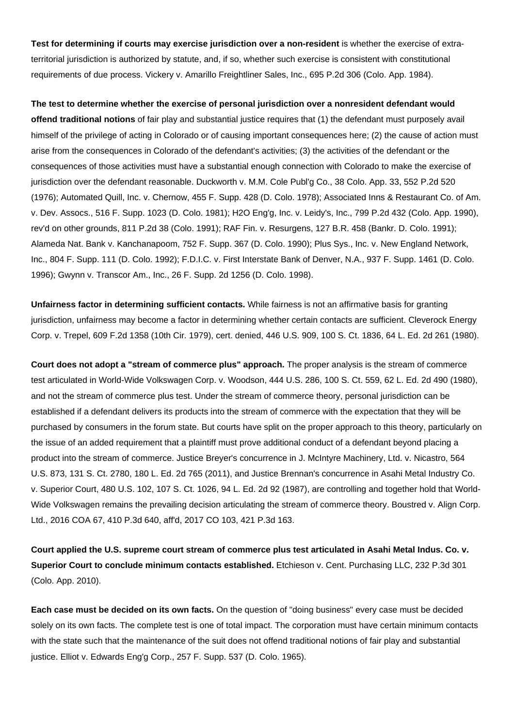**Test for determining if courts may exercise jurisdiction over a non-resident** is whether the exercise of extraterritorial jurisdiction is authorized by statute, and, if so, whether such exercise is consistent with constitutional requirements of due process. Vickery v. Amarillo Freightliner Sales, Inc., 695 P.2d 306 (Colo. App. 1984).

**The test to determine whether the exercise of personal jurisdiction over a nonresident defendant would offend traditional notions** of fair play and substantial justice requires that (1) the defendant must purposely avail himself of the privilege of acting in Colorado or of causing important consequences here; (2) the cause of action must arise from the consequences in Colorado of the defendant's activities; (3) the activities of the defendant or the consequences of those activities must have a substantial enough connection with Colorado to make the exercise of jurisdiction over the defendant reasonable. Duckworth v. M.M. Cole Publ'g Co., 38 Colo. App. 33, 552 P.2d 520 (1976); Automated Quill, Inc. v. Chernow, 455 F. Supp. 428 (D. Colo. 1978); Associated Inns & Restaurant Co. of Am. v. Dev. Assocs., 516 F. Supp. 1023 (D. Colo. 1981); H2O Eng'g, Inc. v. Leidy's, Inc., 799 P.2d 432 (Colo. App. 1990), rev'd on other grounds, 811 P.2d 38 (Colo. 1991); RAF Fin. v. Resurgens, 127 B.R. 458 (Bankr. D. Colo. 1991); Alameda Nat. Bank v. Kanchanapoom, 752 F. Supp. 367 (D. Colo. 1990); Plus Sys., Inc. v. New England Network, Inc., 804 F. Supp. 111 (D. Colo. 1992); F.D.I.C. v. First Interstate Bank of Denver, N.A., 937 F. Supp. 1461 (D. Colo. 1996); Gwynn v. Transcor Am., Inc., 26 F. Supp. 2d 1256 (D. Colo. 1998).

**Unfairness factor in determining sufficient contacts.** While fairness is not an affirmative basis for granting jurisdiction, unfairness may become a factor in determining whether certain contacts are sufficient. Cleverock Energy Corp. v. Trepel, 609 F.2d 1358 (10th Cir. 1979), cert. denied, 446 U.S. 909, 100 S. Ct. 1836, 64 L. Ed. 2d 261 (1980).

**Court does not adopt a "stream of commerce plus" approach.** The proper analysis is the stream of commerce test articulated in World-Wide Volkswagen Corp. v. Woodson, 444 U.S. 286, 100 S. Ct. 559, 62 L. Ed. 2d 490 (1980), and not the stream of commerce plus test. Under the stream of commerce theory, personal jurisdiction can be established if a defendant delivers its products into the stream of commerce with the expectation that they will be purchased by consumers in the forum state. But courts have split on the proper approach to this theory, particularly on the issue of an added requirement that a plaintiff must prove additional conduct of a defendant beyond placing a product into the stream of commerce. Justice Breyer's concurrence in J. McIntyre Machinery, Ltd. v. Nicastro, 564 U.S. 873, 131 S. Ct. 2780, 180 L. Ed. 2d 765 (2011), and Justice Brennan's concurrence in Asahi Metal Industry Co. v. Superior Court, 480 U.S. 102, 107 S. Ct. 1026, 94 L. Ed. 2d 92 (1987), are controlling and together hold that World-Wide Volkswagen remains the prevailing decision articulating the stream of commerce theory. Boustred v. Align Corp. Ltd., 2016 COA 67, 410 P.3d 640, aff'd, 2017 CO 103, 421 P.3d 163.

**Court applied the U.S. supreme court stream of commerce plus test articulated in Asahi Metal Indus. Co. v. Superior Court to conclude minimum contacts established.** Etchieson v. Cent. Purchasing LLC, 232 P.3d 301 (Colo. App. 2010).

**Each case must be decided on its own facts.** On the question of "doing business" every case must be decided solely on its own facts. The complete test is one of total impact. The corporation must have certain minimum contacts with the state such that the maintenance of the suit does not offend traditional notions of fair play and substantial justice. Elliot v. Edwards Eng'g Corp., 257 F. Supp. 537 (D. Colo. 1965).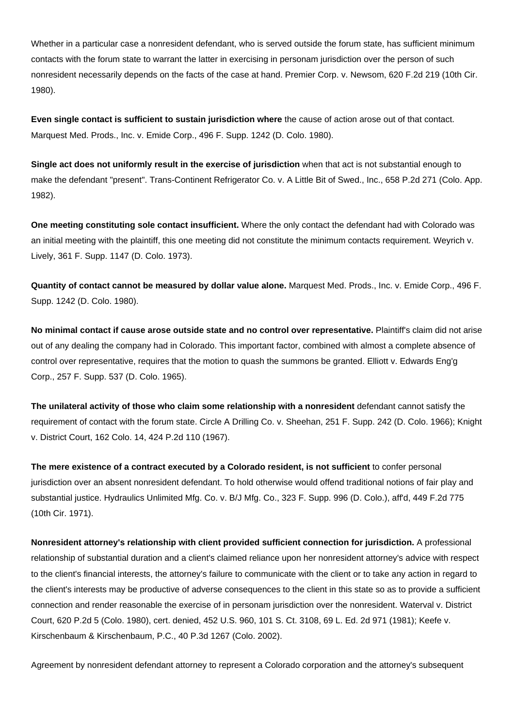Whether in a particular case a nonresident defendant, who is served outside the forum state, has sufficient minimum contacts with the forum state to warrant the latter in exercising in personam jurisdiction over the person of such nonresident necessarily depends on the facts of the case at hand. Premier Corp. v. Newsom, 620 F.2d 219 (10th Cir. 1980).

**Even single contact is sufficient to sustain jurisdiction where** the cause of action arose out of that contact. Marquest Med. Prods., Inc. v. Emide Corp., 496 F. Supp. 1242 (D. Colo. 1980).

**Single act does not uniformly result in the exercise of jurisdiction** when that act is not substantial enough to make the defendant "present". Trans-Continent Refrigerator Co. v. A Little Bit of Swed., Inc., 658 P.2d 271 (Colo. App. 1982).

**One meeting constituting sole contact insufficient.** Where the only contact the defendant had with Colorado was an initial meeting with the plaintiff, this one meeting did not constitute the minimum contacts requirement. Weyrich v. Lively, 361 F. Supp. 1147 (D. Colo. 1973).

**Quantity of contact cannot be measured by dollar value alone.** Marquest Med. Prods., Inc. v. Emide Corp., 496 F. Supp. 1242 (D. Colo. 1980).

**No minimal contact if cause arose outside state and no control over representative.** Plaintiff's claim did not arise out of any dealing the company had in Colorado. This important factor, combined with almost a complete absence of control over representative, requires that the motion to quash the summons be granted. Elliott v. Edwards Eng'g Corp., 257 F. Supp. 537 (D. Colo. 1965).

**The unilateral activity of those who claim some relationship with a nonresident** defendant cannot satisfy the requirement of contact with the forum state. Circle A Drilling Co. v. Sheehan, 251 F. Supp. 242 (D. Colo. 1966); Knight v. District Court, 162 Colo. 14, 424 P.2d 110 (1967).

**The mere existence of a contract executed by a Colorado resident, is not sufficient** to confer personal jurisdiction over an absent nonresident defendant. To hold otherwise would offend traditional notions of fair play and substantial justice. Hydraulics Unlimited Mfg. Co. v. B/J Mfg. Co., 323 F. Supp. 996 (D. Colo.), aff'd, 449 F.2d 775 (10th Cir. 1971).

**Nonresident attorney's relationship with client provided sufficient connection for jurisdiction.** A professional relationship of substantial duration and a client's claimed reliance upon her nonresident attorney's advice with respect to the client's financial interests, the attorney's failure to communicate with the client or to take any action in regard to the client's interests may be productive of adverse consequences to the client in this state so as to provide a sufficient connection and render reasonable the exercise of in personam jurisdiction over the nonresident. Waterval v. District Court, 620 P.2d 5 (Colo. 1980), cert. denied, 452 U.S. 960, 101 S. Ct. 3108, 69 L. Ed. 2d 971 (1981); Keefe v. Kirschenbaum & Kirschenbaum, P.C., 40 P.3d 1267 (Colo. 2002).

Agreement by nonresident defendant attorney to represent a Colorado corporation and the attorney's subsequent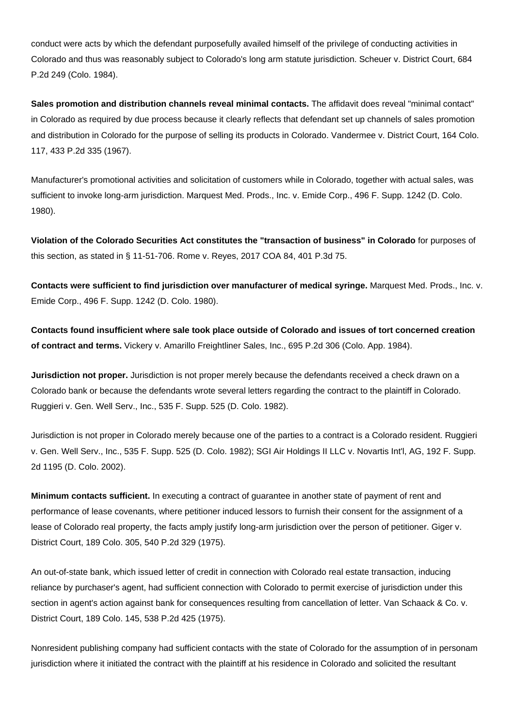conduct were acts by which the defendant purposefully availed himself of the privilege of conducting activities in Colorado and thus was reasonably subject to Colorado's long arm statute jurisdiction. Scheuer v. District Court, 684 P.2d 249 (Colo. 1984).

**Sales promotion and distribution channels reveal minimal contacts.** The affidavit does reveal "minimal contact" in Colorado as required by due process because it clearly reflects that defendant set up channels of sales promotion and distribution in Colorado for the purpose of selling its products in Colorado. Vandermee v. District Court, 164 Colo. 117, 433 P.2d 335 (1967).

Manufacturer's promotional activities and solicitation of customers while in Colorado, together with actual sales, was sufficient to invoke long-arm jurisdiction. Marquest Med. Prods., Inc. v. Emide Corp., 496 F. Supp. 1242 (D. Colo. 1980).

**Violation of the Colorado Securities Act constitutes the "transaction of business" in Colorado** for purposes of this section, as stated in § 11-51-706. Rome v. Reyes, 2017 COA 84, 401 P.3d 75.

**Contacts were sufficient to find jurisdiction over manufacturer of medical syringe.** Marquest Med. Prods., Inc. v. Emide Corp., 496 F. Supp. 1242 (D. Colo. 1980).

**Contacts found insufficient where sale took place outside of Colorado and issues of tort concerned creation of contract and terms.** Vickery v. Amarillo Freightliner Sales, Inc., 695 P.2d 306 (Colo. App. 1984).

**Jurisdiction not proper.** Jurisdiction is not proper merely because the defendants received a check drawn on a Colorado bank or because the defendants wrote several letters regarding the contract to the plaintiff in Colorado. Ruggieri v. Gen. Well Serv., Inc., 535 F. Supp. 525 (D. Colo. 1982).

Jurisdiction is not proper in Colorado merely because one of the parties to a contract is a Colorado resident. Ruggieri v. Gen. Well Serv., Inc., 535 F. Supp. 525 (D. Colo. 1982); SGI Air Holdings II LLC v. Novartis Int'l, AG, 192 F. Supp. 2d 1195 (D. Colo. 2002).

**Minimum contacts sufficient.** In executing a contract of guarantee in another state of payment of rent and performance of lease covenants, where petitioner induced lessors to furnish their consent for the assignment of a lease of Colorado real property, the facts amply justify long-arm jurisdiction over the person of petitioner. Giger v. District Court, 189 Colo. 305, 540 P.2d 329 (1975).

An out-of-state bank, which issued letter of credit in connection with Colorado real estate transaction, inducing reliance by purchaser's agent, had sufficient connection with Colorado to permit exercise of jurisdiction under this section in agent's action against bank for consequences resulting from cancellation of letter. Van Schaack & Co. v. District Court, 189 Colo. 145, 538 P.2d 425 (1975).

Nonresident publishing company had sufficient contacts with the state of Colorado for the assumption of in personam jurisdiction where it initiated the contract with the plaintiff at his residence in Colorado and solicited the resultant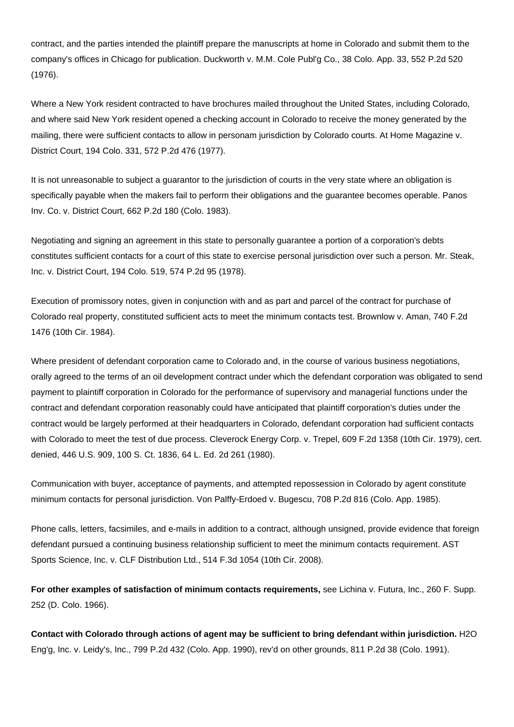contract, and the parties intended the plaintiff prepare the manuscripts at home in Colorado and submit them to the company's offices in Chicago for publication. Duckworth v. M.M. Cole Publ'g Co., 38 Colo. App. 33, 552 P.2d 520 (1976).

Where a New York resident contracted to have brochures mailed throughout the United States, including Colorado, and where said New York resident opened a checking account in Colorado to receive the money generated by the mailing, there were sufficient contacts to allow in personam jurisdiction by Colorado courts. At Home Magazine v. District Court, 194 Colo. 331, 572 P.2d 476 (1977).

It is not unreasonable to subject a guarantor to the jurisdiction of courts in the very state where an obligation is specifically payable when the makers fail to perform their obligations and the guarantee becomes operable. Panos Inv. Co. v. District Court, 662 P.2d 180 (Colo. 1983).

Negotiating and signing an agreement in this state to personally guarantee a portion of a corporation's debts constitutes sufficient contacts for a court of this state to exercise personal jurisdiction over such a person. Mr. Steak, Inc. v. District Court, 194 Colo. 519, 574 P.2d 95 (1978).

Execution of promissory notes, given in conjunction with and as part and parcel of the contract for purchase of Colorado real property, constituted sufficient acts to meet the minimum contacts test. Brownlow v. Aman, 740 F.2d 1476 (10th Cir. 1984).

Where president of defendant corporation came to Colorado and, in the course of various business negotiations, orally agreed to the terms of an oil development contract under which the defendant corporation was obligated to send payment to plaintiff corporation in Colorado for the performance of supervisory and managerial functions under the contract and defendant corporation reasonably could have anticipated that plaintiff corporation's duties under the contract would be largely performed at their headquarters in Colorado, defendant corporation had sufficient contacts with Colorado to meet the test of due process. Cleverock Energy Corp. v. Trepel, 609 F.2d 1358 (10th Cir. 1979), cert. denied, 446 U.S. 909, 100 S. Ct. 1836, 64 L. Ed. 2d 261 (1980).

Communication with buyer, acceptance of payments, and attempted repossession in Colorado by agent constitute minimum contacts for personal jurisdiction. Von Palffy-Erdoed v. Bugescu, 708 P.2d 816 (Colo. App. 1985).

Phone calls, letters, facsimiles, and e-mails in addition to a contract, although unsigned, provide evidence that foreign defendant pursued a continuing business relationship sufficient to meet the minimum contacts requirement. AST Sports Science, Inc. v. CLF Distribution Ltd., 514 F.3d 1054 (10th Cir. 2008).

**For other examples of satisfaction of minimum contacts requirements,** see Lichina v. Futura, Inc., 260 F. Supp. 252 (D. Colo. 1966).

**Contact with Colorado through actions of agent may be sufficient to bring defendant within jurisdiction.** H2O Eng'g, Inc. v. Leidy's, Inc., 799 P.2d 432 (Colo. App. 1990), rev'd on other grounds, 811 P.2d 38 (Colo. 1991).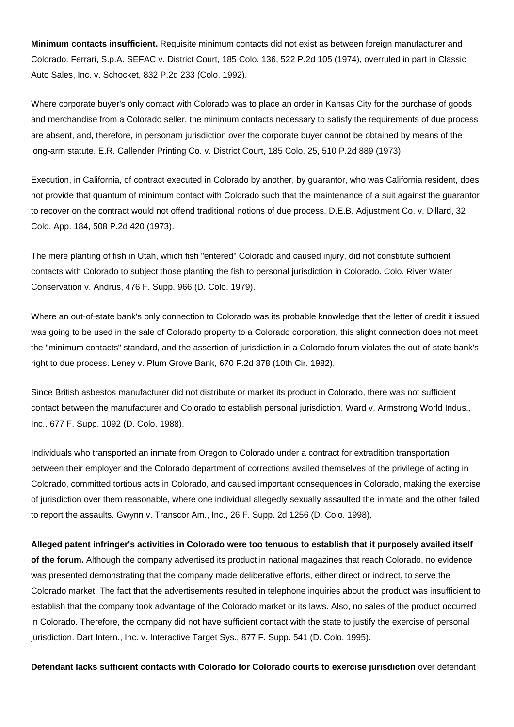**Minimum contacts insufficient.** Requisite minimum contacts did not exist as between foreign manufacturer and Colorado. Ferrari, S.p.A. SEFAC v. District Court, 185 Colo. 136, 522 P.2d 105 (1974), overruled in part in Classic Auto Sales, Inc. v. Schocket, 832 P.2d 233 (Colo. 1992).

Where corporate buyer's only contact with Colorado was to place an order in Kansas City for the purchase of goods and merchandise from a Colorado seller, the minimum contacts necessary to satisfy the requirements of due process are absent, and, therefore, in personam jurisdiction over the corporate buyer cannot be obtained by means of the long-arm statute. E.R. Callender Printing Co. v. District Court, 185 Colo. 25, 510 P.2d 889 (1973).

Execution, in California, of contract executed in Colorado by another, by guarantor, who was California resident, does not provide that quantum of minimum contact with Colorado such that the maintenance of a suit against the guarantor to recover on the contract would not offend traditional notions of due process. D.E.B. Adjustment Co. v. Dillard, 32 Colo. App. 184, 508 P.2d 420 (1973).

The mere planting of fish in Utah, which fish "entered" Colorado and caused injury, did not constitute sufficient contacts with Colorado to subject those planting the fish to personal jurisdiction in Colorado. Colo. River Water Conservation v. Andrus, 476 F. Supp. 966 (D. Colo. 1979).

Where an out-of-state bank's only connection to Colorado was its probable knowledge that the letter of credit it issued was going to be used in the sale of Colorado property to a Colorado corporation, this slight connection does not meet the "minimum contacts" standard, and the assertion of jurisdiction in a Colorado forum violates the out-of-state bank's right to due process. Leney v. Plum Grove Bank, 670 F.2d 878 (10th Cir. 1982).

Since British asbestos manufacturer did not distribute or market its product in Colorado, there was not sufficient contact between the manufacturer and Colorado to establish personal jurisdiction. Ward v. Armstrong World Indus., Inc., 677 F. Supp. 1092 (D. Colo. 1988).

Individuals who transported an inmate from Oregon to Colorado under a contract for extradition transportation between their employer and the Colorado department of corrections availed themselves of the privilege of acting in Colorado, committed tortious acts in Colorado, and caused important consequences in Colorado, making the exercise of jurisdiction over them reasonable, where one individual allegedly sexually assaulted the inmate and the other failed to report the assaults. Gwynn v. Transcor Am., Inc., 26 F. Supp. 2d 1256 (D. Colo. 1998).

**Alleged patent infringer's activities in Colorado were too tenuous to establish that it purposely availed itself of the forum.** Although the company advertised its product in national magazines that reach Colorado, no evidence was presented demonstrating that the company made deliberative efforts, either direct or indirect, to serve the Colorado market. The fact that the advertisements resulted in telephone inquiries about the product was insufficient to establish that the company took advantage of the Colorado market or its laws. Also, no sales of the product occurred in Colorado. Therefore, the company did not have sufficient contact with the state to justify the exercise of personal jurisdiction. Dart Intern., Inc. v. Interactive Target Sys., 877 F. Supp. 541 (D. Colo. 1995).

**Defendant lacks sufficient contacts with Colorado for Colorado courts to exercise jurisdiction** over defendant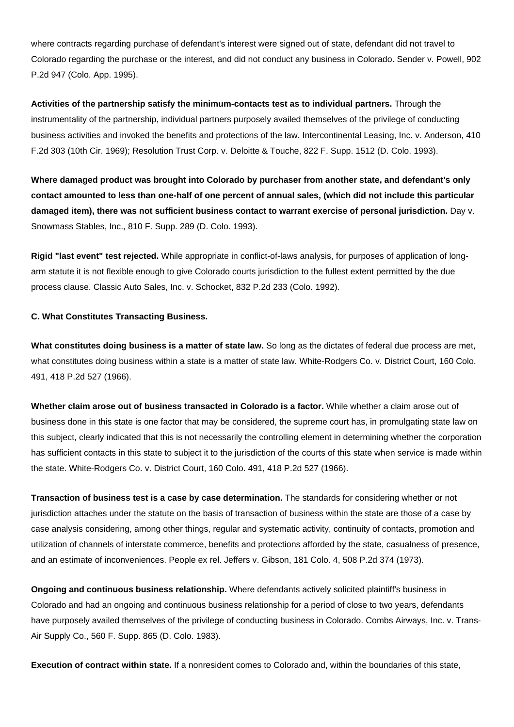where contracts regarding purchase of defendant's interest were signed out of state, defendant did not travel to Colorado regarding the purchase or the interest, and did not conduct any business in Colorado. Sender v. Powell, 902 P.2d 947 (Colo. App. 1995).

**Activities of the partnership satisfy the minimum-contacts test as to individual partners.** Through the instrumentality of the partnership, individual partners purposely availed themselves of the privilege of conducting business activities and invoked the benefits and protections of the law. Intercontinental Leasing, Inc. v. Anderson, 410 F.2d 303 (10th Cir. 1969); Resolution Trust Corp. v. Deloitte & Touche, 822 F. Supp. 1512 (D. Colo. 1993).

**Where damaged product was brought into Colorado by purchaser from another state, and defendant's only contact amounted to less than one-half of one percent of annual sales, (which did not include this particular damaged item), there was not sufficient business contact to warrant exercise of personal jurisdiction.** Day v. Snowmass Stables, Inc., 810 F. Supp. 289 (D. Colo. 1993).

**Rigid "last event" test rejected.** While appropriate in conflict-of-laws analysis, for purposes of application of longarm statute it is not flexible enough to give Colorado courts jurisdiction to the fullest extent permitted by the due process clause. Classic Auto Sales, Inc. v. Schocket, 832 P.2d 233 (Colo. 1992).

#### **C. What Constitutes Transacting Business.**

**What constitutes doing business is a matter of state law.** So long as the dictates of federal due process are met, what constitutes doing business within a state is a matter of state law. White-Rodgers Co. v. District Court, 160 Colo. 491, 418 P.2d 527 (1966).

**Whether claim arose out of business transacted in Colorado is a factor.** While whether a claim arose out of business done in this state is one factor that may be considered, the supreme court has, in promulgating state law on this subject, clearly indicated that this is not necessarily the controlling element in determining whether the corporation has sufficient contacts in this state to subject it to the jurisdiction of the courts of this state when service is made within the state. White-Rodgers Co. v. District Court, 160 Colo. 491, 418 P.2d 527 (1966).

**Transaction of business test is a case by case determination.** The standards for considering whether or not jurisdiction attaches under the statute on the basis of transaction of business within the state are those of a case by case analysis considering, among other things, regular and systematic activity, continuity of contacts, promotion and utilization of channels of interstate commerce, benefits and protections afforded by the state, casualness of presence, and an estimate of inconveniences. People ex rel. Jeffers v. Gibson, 181 Colo. 4, 508 P.2d 374 (1973).

**Ongoing and continuous business relationship.** Where defendants actively solicited plaintiff's business in Colorado and had an ongoing and continuous business relationship for a period of close to two years, defendants have purposely availed themselves of the privilege of conducting business in Colorado. Combs Airways, Inc. v. Trans-Air Supply Co., 560 F. Supp. 865 (D. Colo. 1983).

**Execution of contract within state.** If a nonresident comes to Colorado and, within the boundaries of this state,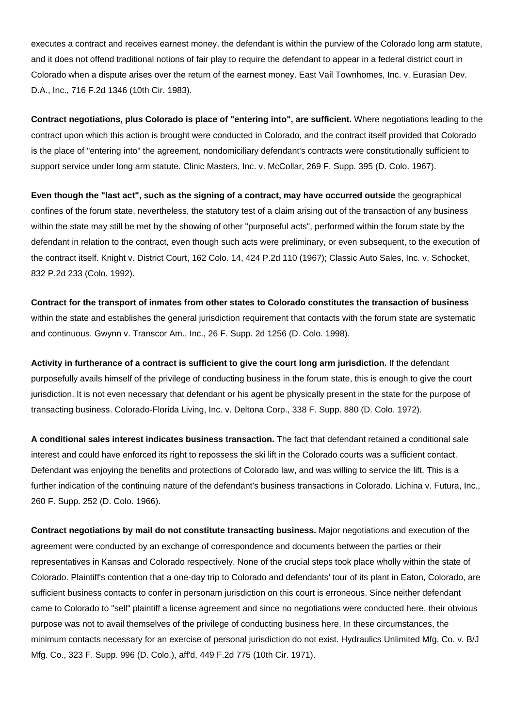executes a contract and receives earnest money, the defendant is within the purview of the Colorado long arm statute, and it does not offend traditional notions of fair play to require the defendant to appear in a federal district court in Colorado when a dispute arises over the return of the earnest money. East Vail Townhomes, Inc. v. Eurasian Dev. D.A., Inc., 716 F.2d 1346 (10th Cir. 1983).

**Contract negotiations, plus Colorado is place of "entering into", are sufficient.** Where negotiations leading to the contract upon which this action is brought were conducted in Colorado, and the contract itself provided that Colorado is the place of "entering into" the agreement, nondomiciliary defendant's contracts were constitutionally sufficient to support service under long arm statute. Clinic Masters, Inc. v. McCollar, 269 F. Supp. 395 (D. Colo. 1967).

**Even though the "last act", such as the signing of a contract, may have occurred outside** the geographical confines of the forum state, nevertheless, the statutory test of a claim arising out of the transaction of any business within the state may still be met by the showing of other "purposeful acts", performed within the forum state by the defendant in relation to the contract, even though such acts were preliminary, or even subsequent, to the execution of the contract itself. Knight v. District Court, 162 Colo. 14, 424 P.2d 110 (1967); Classic Auto Sales, Inc. v. Schocket, 832 P.2d 233 (Colo. 1992).

**Contract for the transport of inmates from other states to Colorado constitutes the transaction of business** within the state and establishes the general jurisdiction requirement that contacts with the forum state are systematic and continuous. Gwynn v. Transcor Am., Inc., 26 F. Supp. 2d 1256 (D. Colo. 1998).

**Activity in furtherance of a contract is sufficient to give the court long arm jurisdiction.** If the defendant purposefully avails himself of the privilege of conducting business in the forum state, this is enough to give the court jurisdiction. It is not even necessary that defendant or his agent be physically present in the state for the purpose of transacting business. Colorado-Florida Living, Inc. v. Deltona Corp., 338 F. Supp. 880 (D. Colo. 1972).

**A conditional sales interest indicates business transaction.** The fact that defendant retained a conditional sale interest and could have enforced its right to repossess the ski lift in the Colorado courts was a sufficient contact. Defendant was enjoying the benefits and protections of Colorado law, and was willing to service the lift. This is a further indication of the continuing nature of the defendant's business transactions in Colorado. Lichina v. Futura, Inc., 260 F. Supp. 252 (D. Colo. 1966).

**Contract negotiations by mail do not constitute transacting business.** Major negotiations and execution of the agreement were conducted by an exchange of correspondence and documents between the parties or their representatives in Kansas and Colorado respectively. None of the crucial steps took place wholly within the state of Colorado. Plaintiff's contention that a one-day trip to Colorado and defendants' tour of its plant in Eaton, Colorado, are sufficient business contacts to confer in personam jurisdiction on this court is erroneous. Since neither defendant came to Colorado to "sell" plaintiff a license agreement and since no negotiations were conducted here, their obvious purpose was not to avail themselves of the privilege of conducting business here. In these circumstances, the minimum contacts necessary for an exercise of personal jurisdiction do not exist. Hydraulics Unlimited Mfg. Co. v. B/J Mfg. Co., 323 F. Supp. 996 (D. Colo.), aff'd, 449 F.2d 775 (10th Cir. 1971).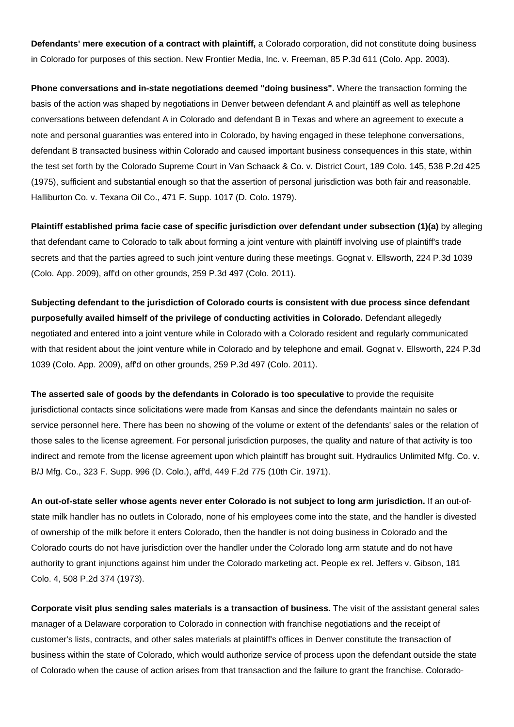**Defendants' mere execution of a contract with plaintiff,** a Colorado corporation, did not constitute doing business in Colorado for purposes of this section. New Frontier Media, Inc. v. Freeman, 85 P.3d 611 (Colo. App. 2003).

**Phone conversations and in-state negotiations deemed "doing business".** Where the transaction forming the basis of the action was shaped by negotiations in Denver between defendant A and plaintiff as well as telephone conversations between defendant A in Colorado and defendant B in Texas and where an agreement to execute a note and personal guaranties was entered into in Colorado, by having engaged in these telephone conversations, defendant B transacted business within Colorado and caused important business consequences in this state, within the test set forth by the Colorado Supreme Court in Van Schaack & Co. v. District Court, 189 Colo. 145, 538 P.2d 425 (1975), sufficient and substantial enough so that the assertion of personal jurisdiction was both fair and reasonable. Halliburton Co. v. Texana Oil Co., 471 F. Supp. 1017 (D. Colo. 1979).

**Plaintiff established prima facie case of specific jurisdiction over defendant under subsection (1)(a)** by alleging that defendant came to Colorado to talk about forming a joint venture with plaintiff involving use of plaintiff's trade secrets and that the parties agreed to such joint venture during these meetings. Gognat v. Ellsworth, 224 P.3d 1039 (Colo. App. 2009), aff'd on other grounds, 259 P.3d 497 (Colo. 2011).

**Subjecting defendant to the jurisdiction of Colorado courts is consistent with due process since defendant purposefully availed himself of the privilege of conducting activities in Colorado.** Defendant allegedly negotiated and entered into a joint venture while in Colorado with a Colorado resident and regularly communicated with that resident about the joint venture while in Colorado and by telephone and email. Gognat v. Ellsworth, 224 P.3d 1039 (Colo. App. 2009), aff'd on other grounds, 259 P.3d 497 (Colo. 2011).

**The asserted sale of goods by the defendants in Colorado is too speculative** to provide the requisite jurisdictional contacts since solicitations were made from Kansas and since the defendants maintain no sales or service personnel here. There has been no showing of the volume or extent of the defendants' sales or the relation of those sales to the license agreement. For personal jurisdiction purposes, the quality and nature of that activity is too indirect and remote from the license agreement upon which plaintiff has brought suit. Hydraulics Unlimited Mfg. Co. v. B/J Mfg. Co., 323 F. Supp. 996 (D. Colo.), aff'd, 449 F.2d 775 (10th Cir. 1971).

**An out-of-state seller whose agents never enter Colorado is not subject to long arm jurisdiction.** If an out-ofstate milk handler has no outlets in Colorado, none of his employees come into the state, and the handler is divested of ownership of the milk before it enters Colorado, then the handler is not doing business in Colorado and the Colorado courts do not have jurisdiction over the handler under the Colorado long arm statute and do not have authority to grant injunctions against him under the Colorado marketing act. People ex rel. Jeffers v. Gibson, 181 Colo. 4, 508 P.2d 374 (1973).

**Corporate visit plus sending sales materials is a transaction of business.** The visit of the assistant general sales manager of a Delaware corporation to Colorado in connection with franchise negotiations and the receipt of customer's lists, contracts, and other sales materials at plaintiff's offices in Denver constitute the transaction of business within the state of Colorado, which would authorize service of process upon the defendant outside the state of Colorado when the cause of action arises from that transaction and the failure to grant the franchise. Colorado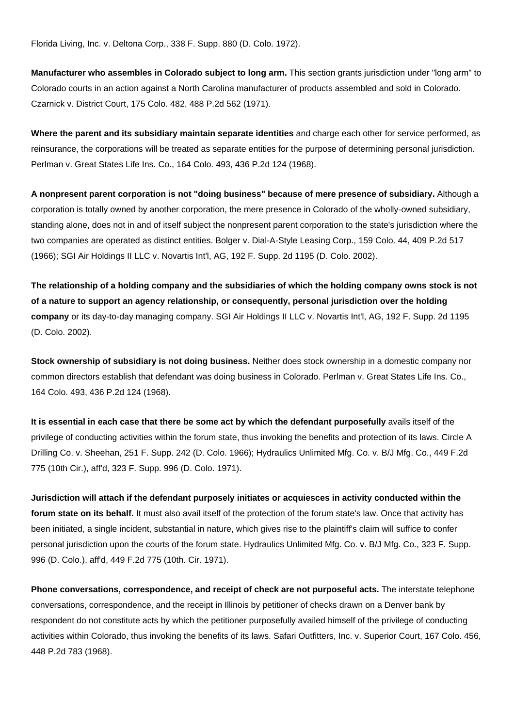Florida Living, Inc. v. Deltona Corp., 338 F. Supp. 880 (D. Colo. 1972).

**Manufacturer who assembles in Colorado subject to long arm.** This section grants jurisdiction under "long arm" to Colorado courts in an action against a North Carolina manufacturer of products assembled and sold in Colorado. Czarnick v. District Court, 175 Colo. 482, 488 P.2d 562 (1971).

**Where the parent and its subsidiary maintain separate identities** and charge each other for service performed, as reinsurance, the corporations will be treated as separate entities for the purpose of determining personal jurisdiction. Perlman v. Great States Life Ins. Co., 164 Colo. 493, 436 P.2d 124 (1968).

**A nonpresent parent corporation is not "doing business" because of mere presence of subsidiary.** Although a corporation is totally owned by another corporation, the mere presence in Colorado of the wholly-owned subsidiary, standing alone, does not in and of itself subject the nonpresent parent corporation to the state's jurisdiction where the two companies are operated as distinct entities. Bolger v. Dial-A-Style Leasing Corp., 159 Colo. 44, 409 P.2d 517 (1966); SGI Air Holdings II LLC v. Novartis Int'l, AG, 192 F. Supp. 2d 1195 (D. Colo. 2002).

**The relationship of a holding company and the subsidiaries of which the holding company owns stock is not of a nature to support an agency relationship, or consequently, personal jurisdiction over the holding company** or its day-to-day managing company. SGI Air Holdings II LLC v. Novartis Int'l, AG, 192 F. Supp. 2d 1195 (D. Colo. 2002).

**Stock ownership of subsidiary is not doing business.** Neither does stock ownership in a domestic company nor common directors establish that defendant was doing business in Colorado. Perlman v. Great States Life Ins. Co., 164 Colo. 493, 436 P.2d 124 (1968).

**It is essential in each case that there be some act by which the defendant purposefully** avails itself of the privilege of conducting activities within the forum state, thus invoking the benefits and protection of its laws. Circle A Drilling Co. v. Sheehan, 251 F. Supp. 242 (D. Colo. 1966); Hydraulics Unlimited Mfg. Co. v. B/J Mfg. Co., 449 F.2d 775 (10th Cir.), aff'd, 323 F. Supp. 996 (D. Colo. 1971).

**Jurisdiction will attach if the defendant purposely initiates or acquiesces in activity conducted within the forum state on its behalf.** It must also avail itself of the protection of the forum state's law. Once that activity has been initiated, a single incident, substantial in nature, which gives rise to the plaintiff's claim will suffice to confer personal jurisdiction upon the courts of the forum state. Hydraulics Unlimited Mfg. Co. v. B/J Mfg. Co., 323 F. Supp. 996 (D. Colo.), aff'd, 449 F.2d 775 (10th. Cir. 1971).

**Phone conversations, correspondence, and receipt of check are not purposeful acts.** The interstate telephone conversations, correspondence, and the receipt in Illinois by petitioner of checks drawn on a Denver bank by respondent do not constitute acts by which the petitioner purposefully availed himself of the privilege of conducting activities within Colorado, thus invoking the benefits of its laws. Safari Outfitters, Inc. v. Superior Court, 167 Colo. 456, 448 P.2d 783 (1968).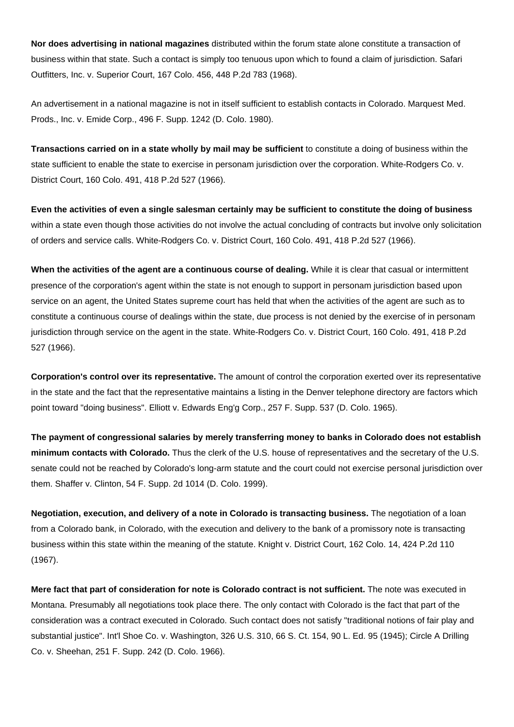**Nor does advertising in national magazines** distributed within the forum state alone constitute a transaction of business within that state. Such a contact is simply too tenuous upon which to found a claim of jurisdiction. Safari Outfitters, Inc. v. Superior Court, 167 Colo. 456, 448 P.2d 783 (1968).

An advertisement in a national magazine is not in itself sufficient to establish contacts in Colorado. Marquest Med. Prods., Inc. v. Emide Corp., 496 F. Supp. 1242 (D. Colo. 1980).

**Transactions carried on in a state wholly by mail may be sufficient** to constitute a doing of business within the state sufficient to enable the state to exercise in personam jurisdiction over the corporation. White-Rodgers Co. v. District Court, 160 Colo. 491, 418 P.2d 527 (1966).

**Even the activities of even a single salesman certainly may be sufficient to constitute the doing of business** within a state even though those activities do not involve the actual concluding of contracts but involve only solicitation of orders and service calls. White-Rodgers Co. v. District Court, 160 Colo. 491, 418 P.2d 527 (1966).

**When the activities of the agent are a continuous course of dealing.** While it is clear that casual or intermittent presence of the corporation's agent within the state is not enough to support in personam jurisdiction based upon service on an agent, the United States supreme court has held that when the activities of the agent are such as to constitute a continuous course of dealings within the state, due process is not denied by the exercise of in personam jurisdiction through service on the agent in the state. White-Rodgers Co. v. District Court, 160 Colo. 491, 418 P.2d 527 (1966).

**Corporation's control over its representative.** The amount of control the corporation exerted over its representative in the state and the fact that the representative maintains a listing in the Denver telephone directory are factors which point toward "doing business". Elliott v. Edwards Eng'g Corp., 257 F. Supp. 537 (D. Colo. 1965).

**The payment of congressional salaries by merely transferring money to banks in Colorado does not establish minimum contacts with Colorado.** Thus the clerk of the U.S. house of representatives and the secretary of the U.S. senate could not be reached by Colorado's long-arm statute and the court could not exercise personal jurisdiction over them. Shaffer v. Clinton, 54 F. Supp. 2d 1014 (D. Colo. 1999).

**Negotiation, execution, and delivery of a note in Colorado is transacting business.** The negotiation of a loan from a Colorado bank, in Colorado, with the execution and delivery to the bank of a promissory note is transacting business within this state within the meaning of the statute. Knight v. District Court, 162 Colo. 14, 424 P.2d 110 (1967).

**Mere fact that part of consideration for note is Colorado contract is not sufficient.** The note was executed in Montana. Presumably all negotiations took place there. The only contact with Colorado is the fact that part of the consideration was a contract executed in Colorado. Such contact does not satisfy "traditional notions of fair play and substantial justice". Int'l Shoe Co. v. Washington, 326 U.S. 310, 66 S. Ct. 154, 90 L. Ed. 95 (1945); Circle A Drilling Co. v. Sheehan, 251 F. Supp. 242 (D. Colo. 1966).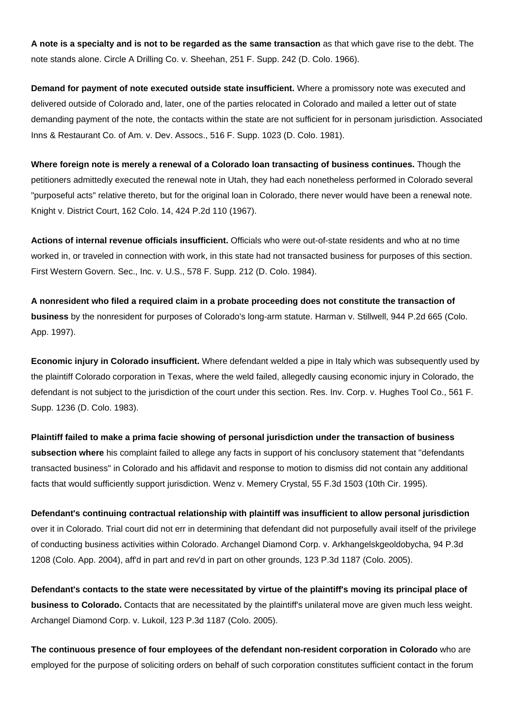**A note is a specialty and is not to be regarded as the same transaction** as that which gave rise to the debt. The note stands alone. Circle A Drilling Co. v. Sheehan, 251 F. Supp. 242 (D. Colo. 1966).

**Demand for payment of note executed outside state insufficient.** Where a promissory note was executed and delivered outside of Colorado and, later, one of the parties relocated in Colorado and mailed a letter out of state demanding payment of the note, the contacts within the state are not sufficient for in personam jurisdiction. Associated Inns & Restaurant Co. of Am. v. Dev. Assocs., 516 F. Supp. 1023 (D. Colo. 1981).

**Where foreign note is merely a renewal of a Colorado loan transacting of business continues.** Though the petitioners admittedly executed the renewal note in Utah, they had each nonetheless performed in Colorado several "purposeful acts" relative thereto, but for the original loan in Colorado, there never would have been a renewal note. Knight v. District Court, 162 Colo. 14, 424 P.2d 110 (1967).

**Actions of internal revenue officials insufficient.** Officials who were out-of-state residents and who at no time worked in, or traveled in connection with work, in this state had not transacted business for purposes of this section. First Western Govern. Sec., Inc. v. U.S., 578 F. Supp. 212 (D. Colo. 1984).

**A nonresident who filed a required claim in a probate proceeding does not constitute the transaction of business** by the nonresident for purposes of Colorado's long-arm statute. Harman v. Stillwell, 944 P.2d 665 (Colo. App. 1997).

**Economic injury in Colorado insufficient.** Where defendant welded a pipe in Italy which was subsequently used by the plaintiff Colorado corporation in Texas, where the weld failed, allegedly causing economic injury in Colorado, the defendant is not subject to the jurisdiction of the court under this section. Res. Inv. Corp. v. Hughes Tool Co., 561 F. Supp. 1236 (D. Colo. 1983).

**Plaintiff failed to make a prima facie showing of personal jurisdiction under the transaction of business subsection where** his complaint failed to allege any facts in support of his conclusory statement that "defendants transacted business" in Colorado and his affidavit and response to motion to dismiss did not contain any additional facts that would sufficiently support jurisdiction. Wenz v. Memery Crystal, 55 F.3d 1503 (10th Cir. 1995).

**Defendant's continuing contractual relationship with plaintiff was insufficient to allow personal jurisdiction** over it in Colorado. Trial court did not err in determining that defendant did not purposefully avail itself of the privilege of conducting business activities within Colorado. Archangel Diamond Corp. v. Arkhangelskgeoldobycha, 94 P.3d 1208 (Colo. App. 2004), aff'd in part and rev'd in part on other grounds, 123 P.3d 1187 (Colo. 2005).

**Defendant's contacts to the state were necessitated by virtue of the plaintiff's moving its principal place of business to Colorado.** Contacts that are necessitated by the plaintiff's unilateral move are given much less weight. Archangel Diamond Corp. v. Lukoil, 123 P.3d 1187 (Colo. 2005).

**The continuous presence of four employees of the defendant non-resident corporation in Colorado** who are employed for the purpose of soliciting orders on behalf of such corporation constitutes sufficient contact in the forum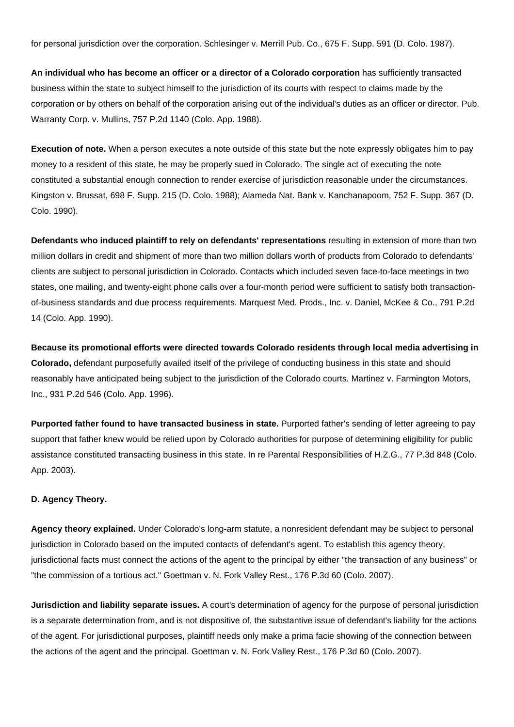for personal jurisdiction over the corporation. Schlesinger v. Merrill Pub. Co., 675 F. Supp. 591 (D. Colo. 1987).

**An individual who has become an officer or a director of a Colorado corporation** has sufficiently transacted business within the state to subject himself to the jurisdiction of its courts with respect to claims made by the corporation or by others on behalf of the corporation arising out of the individual's duties as an officer or director. Pub. Warranty Corp. v. Mullins, 757 P.2d 1140 (Colo. App. 1988).

**Execution of note.** When a person executes a note outside of this state but the note expressly obligates him to pay money to a resident of this state, he may be properly sued in Colorado. The single act of executing the note constituted a substantial enough connection to render exercise of jurisdiction reasonable under the circumstances. Kingston v. Brussat, 698 F. Supp. 215 (D. Colo. 1988); Alameda Nat. Bank v. Kanchanapoom, 752 F. Supp. 367 (D. Colo. 1990).

**Defendants who induced plaintiff to rely on defendants' representations** resulting in extension of more than two million dollars in credit and shipment of more than two million dollars worth of products from Colorado to defendants' clients are subject to personal jurisdiction in Colorado. Contacts which included seven face-to-face meetings in two states, one mailing, and twenty-eight phone calls over a four-month period were sufficient to satisfy both transactionof-business standards and due process requirements. Marquest Med. Prods., Inc. v. Daniel, McKee & Co., 791 P.2d 14 (Colo. App. 1990).

**Because its promotional efforts were directed towards Colorado residents through local media advertising in Colorado,** defendant purposefully availed itself of the privilege of conducting business in this state and should reasonably have anticipated being subject to the jurisdiction of the Colorado courts. Martinez v. Farmington Motors, Inc., 931 P.2d 546 (Colo. App. 1996).

**Purported father found to have transacted business in state.** Purported father's sending of letter agreeing to pay support that father knew would be relied upon by Colorado authorities for purpose of determining eligibility for public assistance constituted transacting business in this state. In re Parental Responsibilities of H.Z.G., 77 P.3d 848 (Colo. App. 2003).

### **D. Agency Theory.**

**Agency theory explained.** Under Colorado's long-arm statute, a nonresident defendant may be subject to personal jurisdiction in Colorado based on the imputed contacts of defendant's agent. To establish this agency theory, jurisdictional facts must connect the actions of the agent to the principal by either "the transaction of any business" or "the commission of a tortious act." Goettman v. N. Fork Valley Rest., 176 P.3d 60 (Colo. 2007).

**Jurisdiction and liability separate issues.** A court's determination of agency for the purpose of personal jurisdiction is a separate determination from, and is not dispositive of, the substantive issue of defendant's liability for the actions of the agent. For jurisdictional purposes, plaintiff needs only make a prima facie showing of the connection between the actions of the agent and the principal. Goettman v. N. Fork Valley Rest., 176 P.3d 60 (Colo. 2007).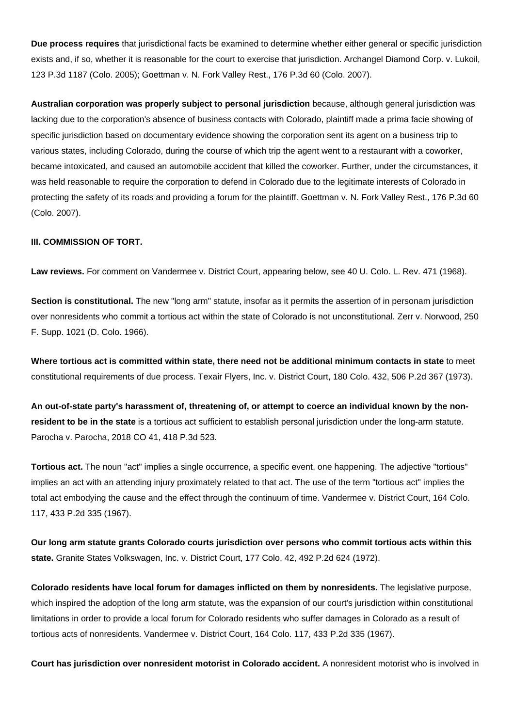**Due process requires** that jurisdictional facts be examined to determine whether either general or specific jurisdiction exists and, if so, whether it is reasonable for the court to exercise that jurisdiction. Archangel Diamond Corp. v. Lukoil, 123 P.3d 1187 (Colo. 2005); Goettman v. N. Fork Valley Rest., 176 P.3d 60 (Colo. 2007).

**Australian corporation was properly subject to personal jurisdiction** because, although general jurisdiction was lacking due to the corporation's absence of business contacts with Colorado, plaintiff made a prima facie showing of specific jurisdiction based on documentary evidence showing the corporation sent its agent on a business trip to various states, including Colorado, during the course of which trip the agent went to a restaurant with a coworker, became intoxicated, and caused an automobile accident that killed the coworker. Further, under the circumstances, it was held reasonable to require the corporation to defend in Colorado due to the legitimate interests of Colorado in protecting the safety of its roads and providing a forum for the plaintiff. Goettman v. N. Fork Valley Rest., 176 P.3d 60 (Colo. 2007).

#### **III. COMMISSION OF TORT.**

**Law reviews.** For comment on Vandermee v. District Court, appearing below, see 40 U. Colo. L. Rev. 471 (1968).

**Section is constitutional.** The new "long arm" statute, insofar as it permits the assertion of in personam jurisdiction over nonresidents who commit a tortious act within the state of Colorado is not unconstitutional. Zerr v. Norwood, 250 F. Supp. 1021 (D. Colo. 1966).

**Where tortious act is committed within state, there need not be additional minimum contacts in state** to meet constitutional requirements of due process. Texair Flyers, Inc. v. District Court, 180 Colo. 432, 506 P.2d 367 (1973).

**An out-of-state party's harassment of, threatening of, or attempt to coerce an individual known by the nonresident to be in the state** is a tortious act sufficient to establish personal jurisdiction under the long-arm statute. Parocha v. Parocha, 2018 CO 41, 418 P.3d 523.

**Tortious act.** The noun "act" implies a single occurrence, a specific event, one happening. The adjective "tortious" implies an act with an attending injury proximately related to that act. The use of the term "tortious act" implies the total act embodying the cause and the effect through the continuum of time. Vandermee v. District Court, 164 Colo. 117, 433 P.2d 335 (1967).

**Our long arm statute grants Colorado courts jurisdiction over persons who commit tortious acts within this state.** Granite States Volkswagen, Inc. v. District Court, 177 Colo. 42, 492 P.2d 624 (1972).

**Colorado residents have local forum for damages inflicted on them by nonresidents.** The legislative purpose, which inspired the adoption of the long arm statute, was the expansion of our court's jurisdiction within constitutional limitations in order to provide a local forum for Colorado residents who suffer damages in Colorado as a result of tortious acts of nonresidents. Vandermee v. District Court, 164 Colo. 117, 433 P.2d 335 (1967).

**Court has jurisdiction over nonresident motorist in Colorado accident.** A nonresident motorist who is involved in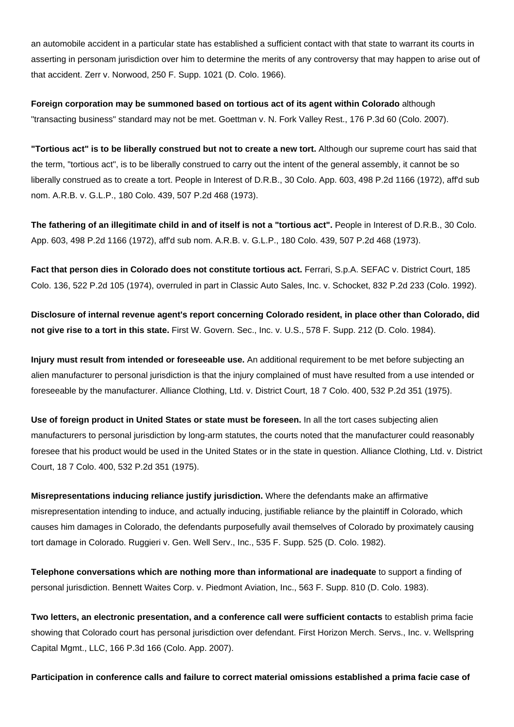an automobile accident in a particular state has established a sufficient contact with that state to warrant its courts in asserting in personam jurisdiction over him to determine the merits of any controversy that may happen to arise out of that accident. Zerr v. Norwood, 250 F. Supp. 1021 (D. Colo. 1966).

**Foreign corporation may be summoned based on tortious act of its agent within Colorado** although "transacting business" standard may not be met. Goettman v. N. Fork Valley Rest., 176 P.3d 60 (Colo. 2007).

**"Tortious act" is to be liberally construed but not to create a new tort.** Although our supreme court has said that the term, "tortious act", is to be liberally construed to carry out the intent of the general assembly, it cannot be so liberally construed as to create a tort. People in Interest of D.R.B., 30 Colo. App. 603, 498 P.2d 1166 (1972), aff'd sub nom. A.R.B. v. G.L.P., 180 Colo. 439, 507 P.2d 468 (1973).

**The fathering of an illegitimate child in and of itself is not a "tortious act".** People in Interest of D.R.B., 30 Colo. App. 603, 498 P.2d 1166 (1972), aff'd sub nom. A.R.B. v. G.L.P., 180 Colo. 439, 507 P.2d 468 (1973).

**Fact that person dies in Colorado does not constitute tortious act.** Ferrari, S.p.A. SEFAC v. District Court, 185 Colo. 136, 522 P.2d 105 (1974), overruled in part in Classic Auto Sales, Inc. v. Schocket, 832 P.2d 233 (Colo. 1992).

**Disclosure of internal revenue agent's report concerning Colorado resident, in place other than Colorado, did not give rise to a tort in this state.** First W. Govern. Sec., Inc. v. U.S., 578 F. Supp. 212 (D. Colo. 1984).

**Injury must result from intended or foreseeable use.** An additional requirement to be met before subjecting an alien manufacturer to personal jurisdiction is that the injury complained of must have resulted from a use intended or foreseeable by the manufacturer. Alliance Clothing, Ltd. v. District Court, 18 7 Colo. 400, 532 P.2d 351 (1975).

**Use of foreign product in United States or state must be foreseen.** In all the tort cases subjecting alien manufacturers to personal jurisdiction by long-arm statutes, the courts noted that the manufacturer could reasonably foresee that his product would be used in the United States or in the state in question. Alliance Clothing, Ltd. v. District Court, 18 7 Colo. 400, 532 P.2d 351 (1975).

**Misrepresentations inducing reliance justify jurisdiction.** Where the defendants make an affirmative misrepresentation intending to induce, and actually inducing, justifiable reliance by the plaintiff in Colorado, which causes him damages in Colorado, the defendants purposefully avail themselves of Colorado by proximately causing tort damage in Colorado. Ruggieri v. Gen. Well Serv., Inc., 535 F. Supp. 525 (D. Colo. 1982).

**Telephone conversations which are nothing more than informational are inadequate** to support a finding of personal jurisdiction. Bennett Waites Corp. v. Piedmont Aviation, Inc., 563 F. Supp. 810 (D. Colo. 1983).

**Two letters, an electronic presentation, and a conference call were sufficient contacts** to establish prima facie showing that Colorado court has personal jurisdiction over defendant. First Horizon Merch. Servs., Inc. v. Wellspring Capital Mgmt., LLC, 166 P.3d 166 (Colo. App. 2007).

**Participation in conference calls and failure to correct material omissions established a prima facie case of**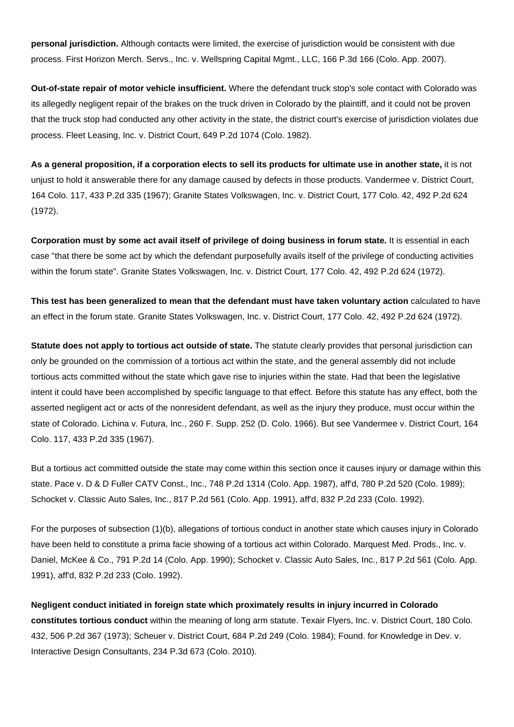**personal jurisdiction.** Although contacts were limited, the exercise of jurisdiction would be consistent with due process. First Horizon Merch. Servs., Inc. v. Wellspring Capital Mgmt., LLC, 166 P.3d 166 (Colo. App. 2007).

**Out-of-state repair of motor vehicle insufficient.** Where the defendant truck stop's sole contact with Colorado was its allegedly negligent repair of the brakes on the truck driven in Colorado by the plaintiff, and it could not be proven that the truck stop had conducted any other activity in the state, the district court's exercise of jurisdiction violates due process. Fleet Leasing, Inc. v. District Court, 649 P.2d 1074 (Colo. 1982).

**As a general proposition, if a corporation elects to sell its products for ultimate use in another state,** it is not unjust to hold it answerable there for any damage caused by defects in those products. Vandermee v. District Court, 164 Colo. 117, 433 P.2d 335 (1967); Granite States Volkswagen, Inc. v. District Court, 177 Colo. 42, 492 P.2d 624 (1972).

**Corporation must by some act avail itself of privilege of doing business in forum state.** It is essential in each case "that there be some act by which the defendant purposefully avails itself of the privilege of conducting activities within the forum state". Granite States Volkswagen, Inc. v. District Court, 177 Colo. 42, 492 P.2d 624 (1972).

**This test has been generalized to mean that the defendant must have taken voluntary action** calculated to have an effect in the forum state. Granite States Volkswagen, Inc. v. District Court, 177 Colo. 42, 492 P.2d 624 (1972).

**Statute does not apply to tortious act outside of state.** The statute clearly provides that personal jurisdiction can only be grounded on the commission of a tortious act within the state, and the general assembly did not include tortious acts committed without the state which gave rise to injuries within the state. Had that been the legislative intent it could have been accomplished by specific language to that effect. Before this statute has any effect, both the asserted negligent act or acts of the nonresident defendant, as well as the injury they produce, must occur within the state of Colorado. Lichina v. Futura, Inc., 260 F. Supp. 252 (D. Colo. 1966). But see Vandermee v. District Court, 164 Colo. 117, 433 P.2d 335 (1967).

But a tortious act committed outside the state may come within this section once it causes injury or damage within this state. Pace v. D & D Fuller CATV Const., Inc., 748 P.2d 1314 (Colo. App. 1987), aff'd, 780 P.2d 520 (Colo. 1989); Schocket v. Classic Auto Sales, Inc., 817 P.2d 561 (Colo. App. 1991), aff'd, 832 P.2d 233 (Colo. 1992).

For the purposes of subsection (1)(b), allegations of tortious conduct in another state which causes injury in Colorado have been held to constitute a prima facie showing of a tortious act within Colorado. Marquest Med. Prods., Inc. v. Daniel, McKee & Co., 791 P.2d 14 (Colo. App. 1990); Schocket v. Classic Auto Sales, Inc., 817 P.2d 561 (Colo. App. 1991), aff'd, 832 P.2d 233 (Colo. 1992).

**Negligent conduct initiated in foreign state which proximately results in injury incurred in Colorado constitutes tortious conduct** within the meaning of long arm statute. Texair Flyers, Inc. v. District Court, 180 Colo. 432, 506 P.2d 367 (1973); Scheuer v. District Court, 684 P.2d 249 (Colo. 1984); Found. for Knowledge in Dev. v. Interactive Design Consultants, 234 P.3d 673 (Colo. 2010).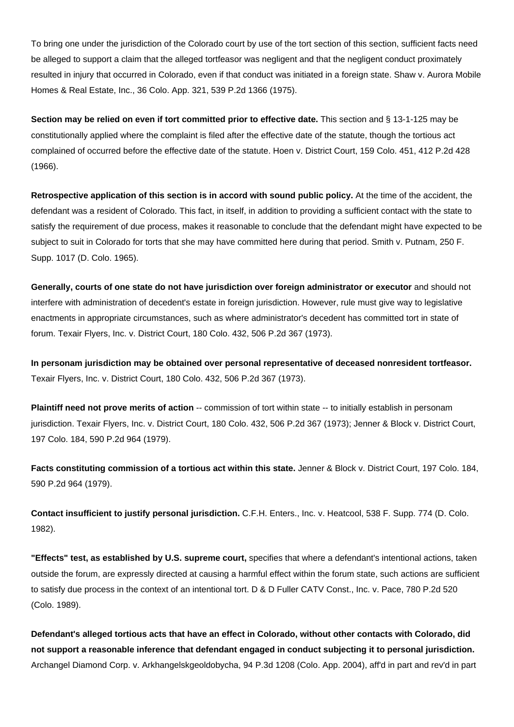To bring one under the jurisdiction of the Colorado court by use of the tort section of this section, sufficient facts need be alleged to support a claim that the alleged tortfeasor was negligent and that the negligent conduct proximately resulted in injury that occurred in Colorado, even if that conduct was initiated in a foreign state. Shaw v. Aurora Mobile Homes & Real Estate, Inc., 36 Colo. App. 321, 539 P.2d 1366 (1975).

**Section may be relied on even if tort committed prior to effective date.** This section and § 13-1-125 may be constitutionally applied where the complaint is filed after the effective date of the statute, though the tortious act complained of occurred before the effective date of the statute. Hoen v. District Court, 159 Colo. 451, 412 P.2d 428 (1966).

**Retrospective application of this section is in accord with sound public policy.** At the time of the accident, the defendant was a resident of Colorado. This fact, in itself, in addition to providing a sufficient contact with the state to satisfy the requirement of due process, makes it reasonable to conclude that the defendant might have expected to be subject to suit in Colorado for torts that she may have committed here during that period. Smith v. Putnam, 250 F. Supp. 1017 (D. Colo. 1965).

**Generally, courts of one state do not have jurisdiction over foreign administrator or executor** and should not interfere with administration of decedent's estate in foreign jurisdiction. However, rule must give way to legislative enactments in appropriate circumstances, such as where administrator's decedent has committed tort in state of forum. Texair Flyers, Inc. v. District Court, 180 Colo. 432, 506 P.2d 367 (1973).

**In personam jurisdiction may be obtained over personal representative of deceased nonresident tortfeasor.** Texair Flyers, Inc. v. District Court, 180 Colo. 432, 506 P.2d 367 (1973).

**Plaintiff need not prove merits of action** -- commission of tort within state -- to initially establish in personam jurisdiction. Texair Flyers, Inc. v. District Court, 180 Colo. 432, 506 P.2d 367 (1973); Jenner & Block v. District Court, 197 Colo. 184, 590 P.2d 964 (1979).

**Facts constituting commission of a tortious act within this state.** Jenner & Block v. District Court, 197 Colo. 184, 590 P.2d 964 (1979).

**Contact insufficient to justify personal jurisdiction.** C.F.H. Enters., Inc. v. Heatcool, 538 F. Supp. 774 (D. Colo. 1982).

**"Effects" test, as established by U.S. supreme court,** specifies that where a defendant's intentional actions, taken outside the forum, are expressly directed at causing a harmful effect within the forum state, such actions are sufficient to satisfy due process in the context of an intentional tort. D & D Fuller CATV Const., Inc. v. Pace, 780 P.2d 520 (Colo. 1989).

**Defendant's alleged tortious acts that have an effect in Colorado, without other contacts with Colorado, did not support a reasonable inference that defendant engaged in conduct subjecting it to personal jurisdiction.** Archangel Diamond Corp. v. Arkhangelskgeoldobycha, 94 P.3d 1208 (Colo. App. 2004), aff'd in part and rev'd in part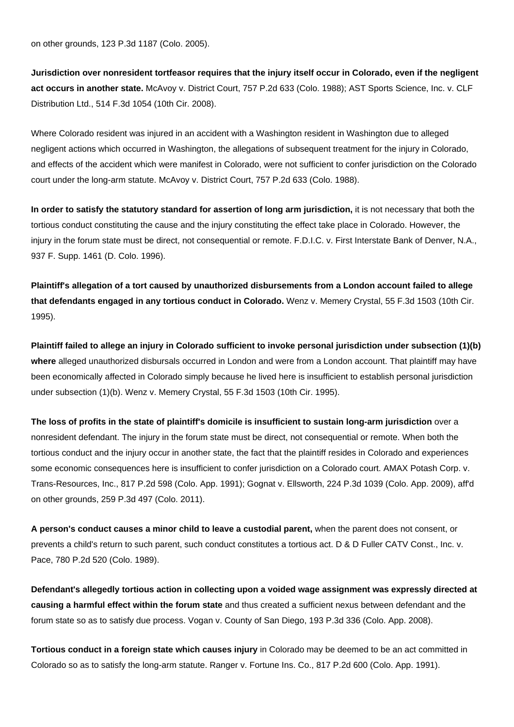on other grounds, 123 P.3d 1187 (Colo. 2005).

**Jurisdiction over nonresident tortfeasor requires that the injury itself occur in Colorado, even if the negligent act occurs in another state.** McAvoy v. District Court, 757 P.2d 633 (Colo. 1988); AST Sports Science, Inc. v. CLF Distribution Ltd., 514 F.3d 1054 (10th Cir. 2008).

Where Colorado resident was injured in an accident with a Washington resident in Washington due to alleged negligent actions which occurred in Washington, the allegations of subsequent treatment for the injury in Colorado, and effects of the accident which were manifest in Colorado, were not sufficient to confer jurisdiction on the Colorado court under the long-arm statute. McAvoy v. District Court, 757 P.2d 633 (Colo. 1988).

**In order to satisfy the statutory standard for assertion of long arm jurisdiction,** it is not necessary that both the tortious conduct constituting the cause and the injury constituting the effect take place in Colorado. However, the injury in the forum state must be direct, not consequential or remote. F.D.I.C. v. First Interstate Bank of Denver, N.A., 937 F. Supp. 1461 (D. Colo. 1996).

**Plaintiff's allegation of a tort caused by unauthorized disbursements from a London account failed to allege that defendants engaged in any tortious conduct in Colorado.** Wenz v. Memery Crystal, 55 F.3d 1503 (10th Cir. 1995).

**Plaintiff failed to allege an injury in Colorado sufficient to invoke personal jurisdiction under subsection (1)(b) where** alleged unauthorized disbursals occurred in London and were from a London account. That plaintiff may have been economically affected in Colorado simply because he lived here is insufficient to establish personal jurisdiction under subsection (1)(b). Wenz v. Memery Crystal, 55 F.3d 1503 (10th Cir. 1995).

**The loss of profits in the state of plaintiff's domicile is insufficient to sustain long-arm jurisdiction** over a nonresident defendant. The injury in the forum state must be direct, not consequential or remote. When both the tortious conduct and the injury occur in another state, the fact that the plaintiff resides in Colorado and experiences some economic consequences here is insufficient to confer jurisdiction on a Colorado court. AMAX Potash Corp. v. Trans-Resources, Inc., 817 P.2d 598 (Colo. App. 1991); Gognat v. Ellsworth, 224 P.3d 1039 (Colo. App. 2009), aff'd on other grounds, 259 P.3d 497 (Colo. 2011).

**A person's conduct causes a minor child to leave a custodial parent,** when the parent does not consent, or prevents a child's return to such parent, such conduct constitutes a tortious act. D & D Fuller CATV Const., Inc. v. Pace, 780 P.2d 520 (Colo. 1989).

**Defendant's allegedly tortious action in collecting upon a voided wage assignment was expressly directed at causing a harmful effect within the forum state** and thus created a sufficient nexus between defendant and the forum state so as to satisfy due process. Vogan v. County of San Diego, 193 P.3d 336 (Colo. App. 2008).

**Tortious conduct in a foreign state which causes injury** in Colorado may be deemed to be an act committed in Colorado so as to satisfy the long-arm statute. Ranger v. Fortune Ins. Co., 817 P.2d 600 (Colo. App. 1991).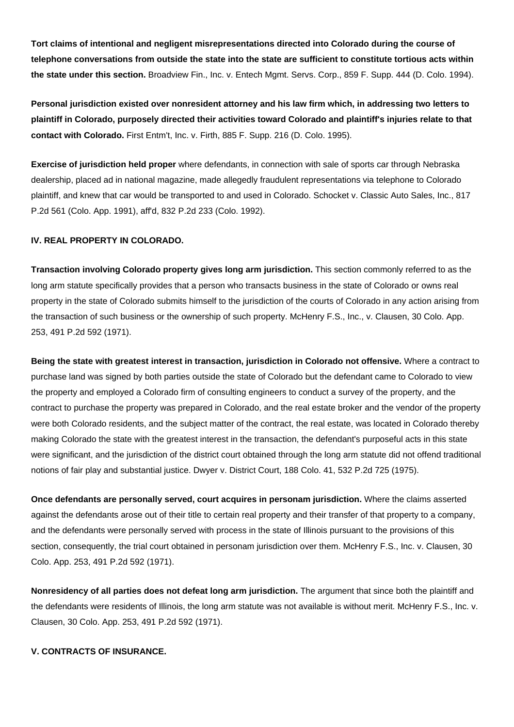**Tort claims of intentional and negligent misrepresentations directed into Colorado during the course of telephone conversations from outside the state into the state are sufficient to constitute tortious acts within the state under this section.** Broadview Fin., Inc. v. Entech Mgmt. Servs. Corp., 859 F. Supp. 444 (D. Colo. 1994).

**Personal jurisdiction existed over nonresident attorney and his law firm which, in addressing two letters to plaintiff in Colorado, purposely directed their activities toward Colorado and plaintiff's injuries relate to that contact with Colorado.** First Entm't, Inc. v. Firth, 885 F. Supp. 216 (D. Colo. 1995).

**Exercise of jurisdiction held proper** where defendants, in connection with sale of sports car through Nebraska dealership, placed ad in national magazine, made allegedly fraudulent representations via telephone to Colorado plaintiff, and knew that car would be transported to and used in Colorado. Schocket v. Classic Auto Sales, Inc., 817 P.2d 561 (Colo. App. 1991), aff'd, 832 P.2d 233 (Colo. 1992).

## **IV. REAL PROPERTY IN COLORADO.**

**Transaction involving Colorado property gives long arm jurisdiction.** This section commonly referred to as the long arm statute specifically provides that a person who transacts business in the state of Colorado or owns real property in the state of Colorado submits himself to the jurisdiction of the courts of Colorado in any action arising from the transaction of such business or the ownership of such property. McHenry F.S., Inc., v. Clausen, 30 Colo. App. 253, 491 P.2d 592 (1971).

**Being the state with greatest interest in transaction, jurisdiction in Colorado not offensive.** Where a contract to purchase land was signed by both parties outside the state of Colorado but the defendant came to Colorado to view the property and employed a Colorado firm of consulting engineers to conduct a survey of the property, and the contract to purchase the property was prepared in Colorado, and the real estate broker and the vendor of the property were both Colorado residents, and the subject matter of the contract, the real estate, was located in Colorado thereby making Colorado the state with the greatest interest in the transaction, the defendant's purposeful acts in this state were significant, and the jurisdiction of the district court obtained through the long arm statute did not offend traditional notions of fair play and substantial justice. Dwyer v. District Court, 188 Colo. 41, 532 P.2d 725 (1975).

**Once defendants are personally served, court acquires in personam jurisdiction.** Where the claims asserted against the defendants arose out of their title to certain real property and their transfer of that property to a company, and the defendants were personally served with process in the state of Illinois pursuant to the provisions of this section, consequently, the trial court obtained in personam jurisdiction over them. McHenry F.S., Inc. v. Clausen, 30 Colo. App. 253, 491 P.2d 592 (1971).

**Nonresidency of all parties does not defeat long arm jurisdiction.** The argument that since both the plaintiff and the defendants were residents of Illinois, the long arm statute was not available is without merit. McHenry F.S., Inc. v. Clausen, 30 Colo. App. 253, 491 P.2d 592 (1971).

### **V. CONTRACTS OF INSURANCE.**